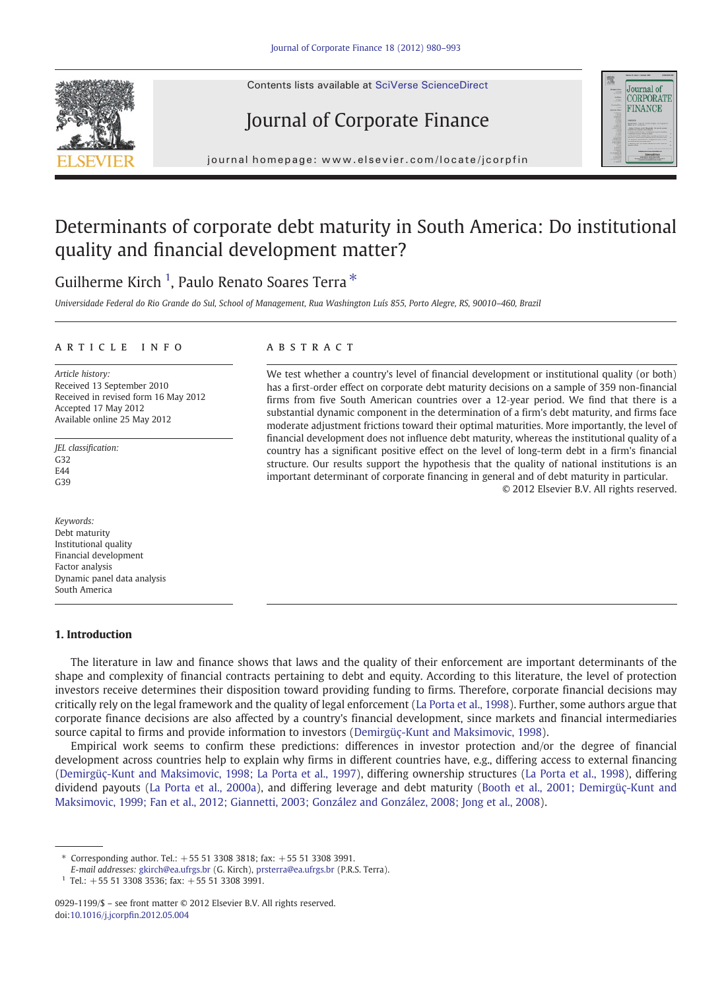Contents lists available at SciVerse ScienceDirect

# Journal of Corporate Finance

journal homepage: www.elsevier.com/locate/jcorp/locate/jcorp/locate/jcorp/locate/jcorp/interval homepage:  $\mathcal{O}(\mathcal{C})$ 

# Determinants of corporate debt maturity in South America: Do institutional quality and financial development matter?

# Guilherme Kirch <sup>1</sup>, Paulo Renato Soares Terra  $^*$

Universidade Federal do Rio Grande do Sul, School of Management, Rua Washington Luís 855, Porto Alegre, RS, 90010–460, Brazil

#### article info abstract

Article history: Received 13 September 2010 Received in revised form 16 May 2012 Accepted 17 May 2012 Available online 25 May 2012

JEL classification: G32 E<sub>A</sub> G39

Keywords: Debt maturity Institutional quality Financial development Factor analysis Dynamic panel data analysis South America

### 1. Introduction

We test whether a country's level of financial development or institutional quality (or both) has a first-order effect on corporate debt maturity decisions on a sample of 359 non-financial firms from five South American countries over a 12‐year period. We find that there is a substantial dynamic component in the determination of a firm's debt maturity, and firms face moderate adjustment frictions toward their optimal maturities. More importantly, the level of financial development does not influence debt maturity, whereas the institutional quality of a country has a significant positive effect on the level of long-term debt in a firm's financial structure. Our results support the hypothesis that the quality of national institutions is an important determinant of corporate financing in general and of debt maturity in particular. © 2012 Elsevier B.V. All rights reserved.

The literature in law and finance shows that laws and the quality of their enforcement are important determinants of the shape and complexity of financial contracts pertaining to debt and equity. According to this literature, the level of protection investors receive determines their disposition toward providing funding to firms. Therefore, corporate financial decisions may critically rely on the legal framework and the quality of legal enforcement ([La Porta et al., 1998\)](#page-13-0). Further, some authors argue that corporate finance decisions are also affected by a country's financial development, since markets and financial intermediaries source capital to firms and provide information to investors ([Demirgüç-Kunt and Maksimovic, 1998](#page-13-0)).

Empirical work seems to confirm these predictions: differences in investor protection and/or the degree of financial development across countries help to explain why firms in different countries have, e.g., differing access to external financing ([Demirgüç-Kunt and Maksimovic, 1998; La Porta et al., 1997](#page-13-0)), differing ownership structures [\(La Porta et al., 1998](#page-13-0)), differing dividend payouts [\(La Porta et al., 2000a](#page-13-0)), and differing leverage and debt maturity [\(Booth et al., 2001; Demirgüç-Kunt and](#page-12-0) [Maksimovic, 1999; Fan et al., 2012; Giannetti, 2003; González and González, 2008; Jong et al., 2008\)](#page-12-0).





Corresponding author. Tel.:  $+555133083818$ ; fax:  $+555133083991$ .

E-mail addresses: [gkirch@ea.ufrgs.br](mailto:gkirch@ea.ufrgs.br) (G. Kirch), [prsterra@ea.ufrgs.br](mailto:prsterra@ea.ufrgs.br) (P.R.S. Terra).

 $1$  Tel.: +55 51 3308 3536; fax: +55 51 3308 3991.

<sup>0929-1199/\$</sup> – see front matter © 2012 Elsevier B.V. All rights reserved. doi:[10.1016/j.jcorp](http://dx.doi.org/10.1016/j.jcorpfin.2012.05.004)fin.2012.05.004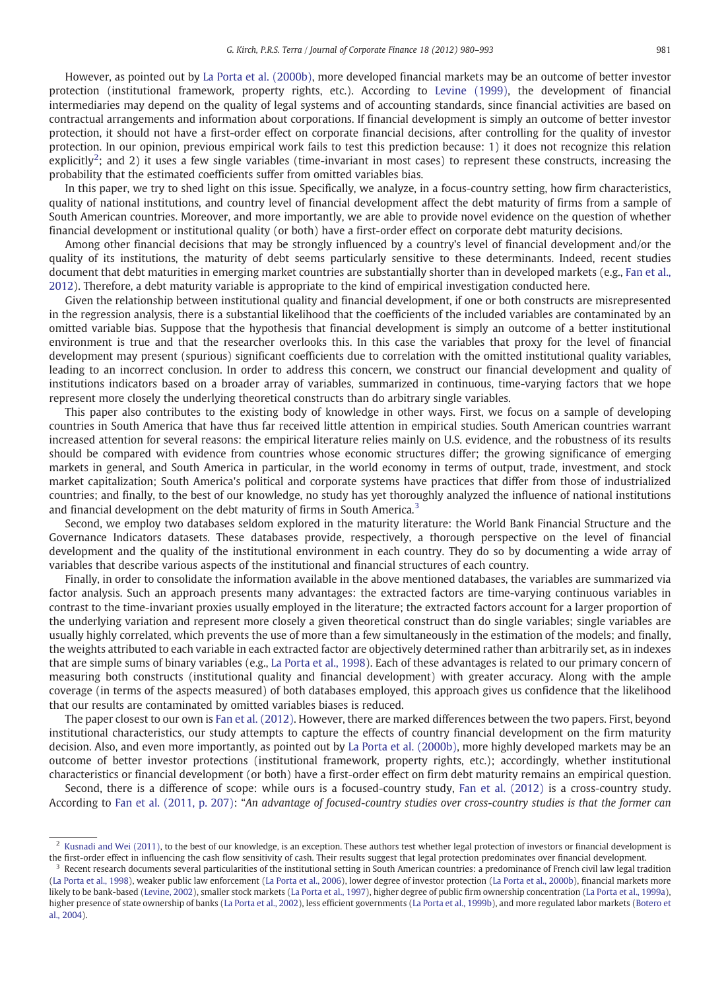However, as pointed out by [La Porta et al. \(2000b\)](#page-13-0), more developed financial markets may be an outcome of better investor protection (institutional framework, property rights, etc.). According to [Levine \(1999\),](#page-13-0) the development of financial intermediaries may depend on the quality of legal systems and of accounting standards, since financial activities are based on contractual arrangements and information about corporations. If financial development is simply an outcome of better investor protection, it should not have a first-order effect on corporate financial decisions, after controlling for the quality of investor protection. In our opinion, previous empirical work fails to test this prediction because: 1) it does not recognize this relation explicitly<sup>2</sup>; and 2) it uses a few single variables (time-invariant in most cases) to represent these constructs, increasing the probability that the estimated coefficients suffer from omitted variables bias.

In this paper, we try to shed light on this issue. Specifically, we analyze, in a focus-country setting, how firm characteristics, quality of national institutions, and country level of financial development affect the debt maturity of firms from a sample of South American countries. Moreover, and more importantly, we are able to provide novel evidence on the question of whether financial development or institutional quality (or both) have a first-order effect on corporate debt maturity decisions.

Among other financial decisions that may be strongly influenced by a country's level of financial development and/or the quality of its institutions, the maturity of debt seems particularly sensitive to these determinants. Indeed, recent studies document that debt maturities in emerging market countries are substantially shorter than in developed markets (e.g., [Fan et al.,](#page-13-0) [2012](#page-13-0)). Therefore, a debt maturity variable is appropriate to the kind of empirical investigation conducted here.

Given the relationship between institutional quality and financial development, if one or both constructs are misrepresented in the regression analysis, there is a substantial likelihood that the coefficients of the included variables are contaminated by an omitted variable bias. Suppose that the hypothesis that financial development is simply an outcome of a better institutional environment is true and that the researcher overlooks this. In this case the variables that proxy for the level of financial development may present (spurious) significant coefficients due to correlation with the omitted institutional quality variables, leading to an incorrect conclusion. In order to address this concern, we construct our financial development and quality of institutions indicators based on a broader array of variables, summarized in continuous, time-varying factors that we hope represent more closely the underlying theoretical constructs than do arbitrary single variables.

This paper also contributes to the existing body of knowledge in other ways. First, we focus on a sample of developing countries in South America that have thus far received little attention in empirical studies. South American countries warrant increased attention for several reasons: the empirical literature relies mainly on U.S. evidence, and the robustness of its results should be compared with evidence from countries whose economic structures differ; the growing significance of emerging markets in general, and South America in particular, in the world economy in terms of output, trade, investment, and stock market capitalization; South America's political and corporate systems have practices that differ from those of industrialized countries; and finally, to the best of our knowledge, no study has yet thoroughly analyzed the influence of national institutions and financial development on the debt maturity of firms in South America.<sup>3</sup>

Second, we employ two databases seldom explored in the maturity literature: the World Bank Financial Structure and the Governance Indicators datasets. These databases provide, respectively, a thorough perspective on the level of financial development and the quality of the institutional environment in each country. They do so by documenting a wide array of variables that describe various aspects of the institutional and financial structures of each country.

Finally, in order to consolidate the information available in the above mentioned databases, the variables are summarized via factor analysis. Such an approach presents many advantages: the extracted factors are time-varying continuous variables in contrast to the time-invariant proxies usually employed in the literature; the extracted factors account for a larger proportion of the underlying variation and represent more closely a given theoretical construct than do single variables; single variables are usually highly correlated, which prevents the use of more than a few simultaneously in the estimation of the models; and finally, the weights attributed to each variable in each extracted factor are objectively determined rather than arbitrarily set, as in indexes that are simple sums of binary variables (e.g., [La Porta et al., 1998](#page-13-0)). Each of these advantages is related to our primary concern of measuring both constructs (institutional quality and financial development) with greater accuracy. Along with the ample coverage (in terms of the aspects measured) of both databases employed, this approach gives us confidence that the likelihood that our results are contaminated by omitted variables biases is reduced.

The paper closest to our own is [Fan et al. \(2012\)](#page-13-0). However, there are marked differences between the two papers. First, beyond institutional characteristics, our study attempts to capture the effects of country financial development on the firm maturity decision. Also, and even more importantly, as pointed out by [La Porta et al. \(2000b\),](#page-13-0) more highly developed markets may be an outcome of better investor protections (institutional framework, property rights, etc.); accordingly, whether institutional characteristics or financial development (or both) have a first-order effect on firm debt maturity remains an empirical question.

Second, there is a difference of scope: while ours is a focused-country study, [Fan et al. \(2012\)](#page-13-0) is a cross-country study. According to [Fan et al. \(2011, p. 207\)](#page-13-0): "An advantage of focused-country studies over cross-country studies is that the former can

<sup>&</sup>lt;sup>2</sup> [Kusnadi and Wei \(2011\)](#page-13-0), to the best of our knowledge, is an exception. These authors test whether legal protection of investors or financial development is the first-order effect in influencing the cash flow sensitivity of cash. Their results suggest that legal protection predominates over financial development.

<sup>&</sup>lt;sup>3</sup> Recent research documents several particularities of the institutional setting in South American countries: a predominance of French civil law legal tradition ([La Porta et al., 1998](#page-13-0)), weaker public law enforcement [\(La Porta et al., 2006\)](#page-13-0), lower degree of investor protection [\(La Porta et al., 2000b\)](#page-13-0), financial markets more likely to be bank-based [\(Levine, 2002\)](#page-13-0), smaller stock markets [\(La Porta et al., 1997](#page-13-0)), higher degree of public firm ownership concentration ([La Porta et al., 1999a\)](#page-13-0), higher presence of state ownership of banks [\(La Porta et al., 2002\)](#page-13-0), less efficient governments [\(La Porta et al., 1999b\)](#page-13-0), and more regulated labor markets ([Botero et](#page-12-0) [al., 2004](#page-12-0)).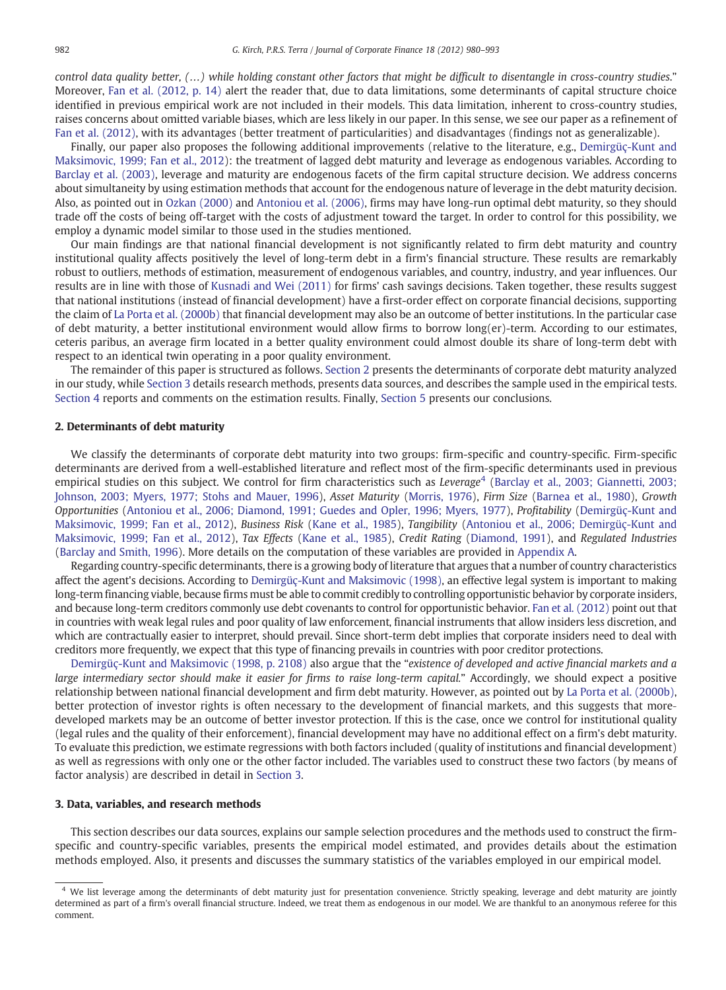control data quality better, (…) while holding constant other factors that might be difficult to disentangle in cross-country studies." Moreover, [Fan et al. \(2012, p. 14\)](#page-13-0) alert the reader that, due to data limitations, some determinants of capital structure choice identified in previous empirical work are not included in their models. This data limitation, inherent to cross-country studies, raises concerns about omitted variable biases, which are less likely in our paper. In this sense, we see our paper as a refinement of [Fan et al. \(2012\),](#page-13-0) with its advantages (better treatment of particularities) and disadvantages (findings not as generalizable).

Finally, our paper also proposes the following additional improvements (relative to the literature, e.g., [Demirgüç-Kunt and](#page-13-0) [Maksimovic, 1999; Fan et al., 2012](#page-13-0)): the treatment of lagged debt maturity and leverage as endogenous variables. According to [Barclay et al. \(2003\)](#page-12-0), leverage and maturity are endogenous facets of the firm capital structure decision. We address concerns about simultaneity by using estimation methods that account for the endogenous nature of leverage in the debt maturity decision. Also, as pointed out in [Ozkan \(2000\)](#page-13-0) and [Antoniou et al. \(2006\)](#page-12-0), firms may have long-run optimal debt maturity, so they should trade off the costs of being off-target with the costs of adjustment toward the target. In order to control for this possibility, we employ a dynamic model similar to those used in the studies mentioned.

Our main findings are that national financial development is not significantly related to firm debt maturity and country institutional quality affects positively the level of long-term debt in a firm's financial structure. These results are remarkably robust to outliers, methods of estimation, measurement of endogenous variables, and country, industry, and year influences. Our results are in line with those of [Kusnadi and Wei \(2011\)](#page-13-0) for firms' cash savings decisions. Taken together, these results suggest that national institutions (instead of financial development) have a first-order effect on corporate financial decisions, supporting the claim of [La Porta et al. \(2000b\)](#page-13-0) that financial development may also be an outcome of better institutions. In the particular case of debt maturity, a better institutional environment would allow firms to borrow long(er)-term. According to our estimates, ceteris paribus, an average firm located in a better quality environment could almost double its share of long-term debt with respect to an identical twin operating in a poor quality environment.

The remainder of this paper is structured as follows. Section 2 presents the determinants of corporate debt maturity analyzed in our study, while Section 3 details research methods, presents data sources, and describes the sample used in the empirical tests. [Section 4](#page-6-0) reports and comments on the estimation results. Finally, [Section 5](#page-11-0) presents our conclusions.

#### 2. Determinants of debt maturity

We classify the determinants of corporate debt maturity into two groups: firm-specific and country-specific. Firm-specific determinants are derived from a well-established literature and reflect most of the firm-specific determinants used in previous empirical studies on this subject. We control for firm characteristics such as Leverage<sup>4</sup> ([Barclay et al., 2003; Giannetti, 2003;](#page-12-0) [Johnson, 2003; Myers, 1977; Stohs and Mauer, 1996\)](#page-12-0), Asset Maturity [\(Morris, 1976\)](#page-13-0), Firm Size [\(Barnea et al., 1980\)](#page-12-0), Growth Opportunities [\(Antoniou et al., 2006; Diamond, 1991; Guedes and Opler, 1996; Myers, 1977\)](#page-12-0), Profitability ([Demirgüç-Kunt and](#page-13-0) [Maksimovic, 1999; Fan et al., 2012](#page-13-0)), Business Risk [\(Kane et al., 1985](#page-13-0)), Tangibility ([Antoniou et al., 2006; Demirgüç-Kunt and](#page-12-0) [Maksimovic, 1999; Fan et al., 2012](#page-12-0)), Tax Effects ([Kane et al., 1985](#page-13-0)), Credit Rating ([Diamond, 1991\)](#page-13-0), and Regulated Industries ([Barclay and Smith, 1996](#page-12-0)). More details on the computation of these variables are provided in [Appendix A.](#page-12-0)

Regarding country-specific determinants, there is a growing body of literature that argues that a number of country characteristics affect the agent's decisions. According to [Demirgüç-Kunt and Maksimovic \(1998\)](#page-13-0), an effective legal system is important to making long-term financing viable, because firms must be able to commit credibly to controlling opportunistic behavior by corporate insiders, and because long-term creditors commonly use debt covenants to control for opportunistic behavior. [Fan et al. \(2012\)](#page-13-0) point out that in countries with weak legal rules and poor quality of law enforcement, financial instruments that allow insiders less discretion, and which are contractually easier to interpret, should prevail. Since short-term debt implies that corporate insiders need to deal with creditors more frequently, we expect that this type of financing prevails in countries with poor creditor protections.

[Demirgüç-Kunt and Maksimovic \(1998, p. 2108\)](#page-13-0) also argue that the "existence of developed and active financial markets and a large intermediary sector should make it easier for firms to raise long-term capital." Accordingly, we should expect a positive relationship between national financial development and firm debt maturity. However, as pointed out by [La Porta et al. \(2000b\),](#page-13-0) better protection of investor rights is often necessary to the development of financial markets, and this suggests that moredeveloped markets may be an outcome of better investor protection. If this is the case, once we control for institutional quality (legal rules and the quality of their enforcement), financial development may have no additional effect on a firm's debt maturity. To evaluate this prediction, we estimate regressions with both factors included (quality of institutions and financial development) as well as regressions with only one or the other factor included. The variables used to construct these two factors (by means of factor analysis) are described in detail in Section 3.

#### 3. Data, variables, and research methods

This section describes our data sources, explains our sample selection procedures and the methods used to construct the firmspecific and country-specific variables, presents the empirical model estimated, and provides details about the estimation methods employed. Also, it presents and discusses the summary statistics of the variables employed in our empirical model.

<sup>&</sup>lt;sup>4</sup> We list leverage among the determinants of debt maturity just for presentation convenience. Strictly speaking, leverage and debt maturity are jointly determined as part of a firm's overall financial structure. Indeed, we treat them as endogenous in our model. We are thankful to an anonymous referee for this comment.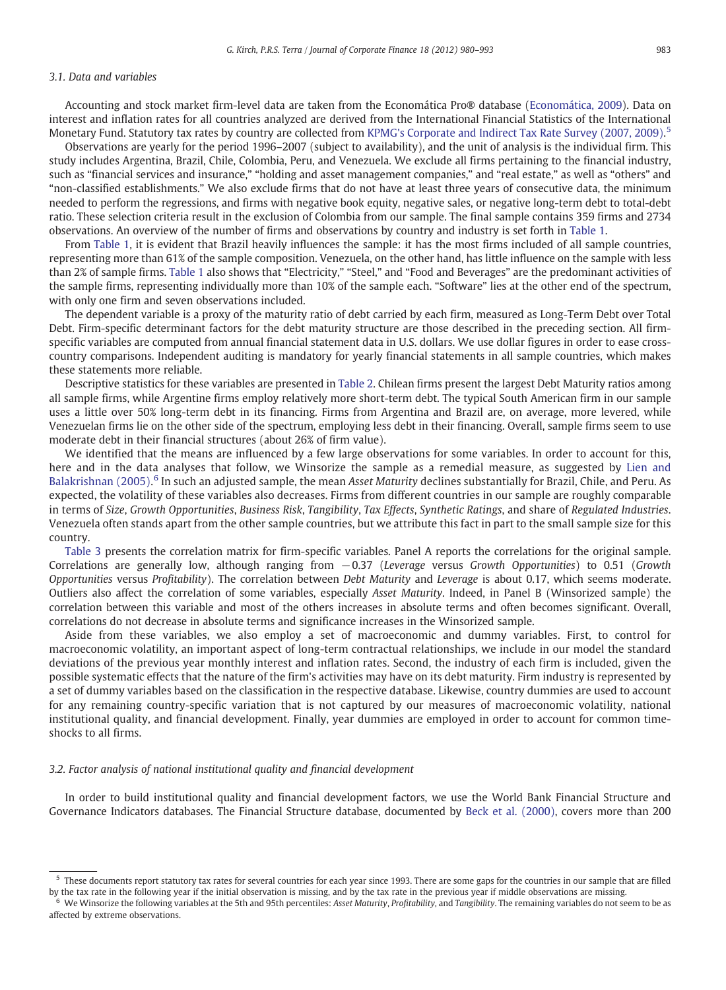## <span id="page-3-0"></span>3.1. Data and variables

Accounting and stock market firm-level data are taken from the Economática Pro® database [\(Economática, 2009](#page-13-0)). Data on interest and inflation rates for all countries analyzed are derived from the International Financial Statistics of the International Monetary Fund. Statutory tax rates by country are collected from [KPMG's Corporate and Indirect Tax Rate Survey \(2007, 2009\).](#page-13-0) 5

Observations are yearly for the period 1996–2007 (subject to availability), and the unit of analysis is the individual firm. This study includes Argentina, Brazil, Chile, Colombia, Peru, and Venezuela. We exclude all firms pertaining to the financial industry, such as "financial services and insurance," "holding and asset management companies," and "real estate," as well as "others" and "non-classified establishments." We also exclude firms that do not have at least three years of consecutive data, the minimum needed to perform the regressions, and firms with negative book equity, negative sales, or negative long-term debt to total-debt ratio. These selection criteria result in the exclusion of Colombia from our sample. The final sample contains 359 firms and 2734 observations. An overview of the number of firms and observations by country and industry is set forth in [Table 1.](#page-4-0)

From [Table 1](#page-4-0), it is evident that Brazil heavily influences the sample: it has the most firms included of all sample countries, representing more than 61% of the sample composition. Venezuela, on the other hand, has little influence on the sample with less than 2% of sample firms. [Table 1](#page-4-0) also shows that "Electricity," "Steel," and "Food and Beverages" are the predominant activities of the sample firms, representing individually more than 10% of the sample each. "Software" lies at the other end of the spectrum, with only one firm and seven observations included.

The dependent variable is a proxy of the maturity ratio of debt carried by each firm, measured as Long-Term Debt over Total Debt. Firm-specific determinant factors for the debt maturity structure are those described in the preceding section. All firmspecific variables are computed from annual financial statement data in U.S. dollars. We use dollar figures in order to ease crosscountry comparisons. Independent auditing is mandatory for yearly financial statements in all sample countries, which makes these statements more reliable.

Descriptive statistics for these variables are presented in [Table 2.](#page-4-0) Chilean firms present the largest Debt Maturity ratios among all sample firms, while Argentine firms employ relatively more short-term debt. The typical South American firm in our sample uses a little over 50% long-term debt in its financing. Firms from Argentina and Brazil are, on average, more levered, while Venezuelan firms lie on the other side of the spectrum, employing less debt in their financing. Overall, sample firms seem to use moderate debt in their financial structures (about 26% of firm value).

We identified that the means are influenced by a few large observations for some variables. In order to account for this, here and in the data analyses that follow, we Winsorize the sample as a remedial measure, as suggested by [Lien and](#page-13-0) [Balakrishnan \(2005\)](#page-13-0).<sup>6</sup> In such an adjusted sample, the mean Asset Maturity declines substantially for Brazil, Chile, and Peru. As expected, the volatility of these variables also decreases. Firms from different countries in our sample are roughly comparable in terms of Size, Growth Opportunities, Business Risk, Tangibility, Tax Effects, Synthetic Ratings, and share of Regulated Industries. Venezuela often stands apart from the other sample countries, but we attribute this fact in part to the small sample size for this country.

[Table 3](#page-5-0) presents the correlation matrix for firm-specific variables. Panel A reports the correlations for the original sample. Correlations are generally low, although ranging from −0.37 (Leverage versus Growth Opportunities) to 0.51 (Growth Opportunities versus Profitability). The correlation between Debt Maturity and Leverage is about 0.17, which seems moderate. Outliers also affect the correlation of some variables, especially Asset Maturity. Indeed, in Panel B (Winsorized sample) the correlation between this variable and most of the others increases in absolute terms and often becomes significant. Overall, correlations do not decrease in absolute terms and significance increases in the Winsorized sample.

Aside from these variables, we also employ a set of macroeconomic and dummy variables. First, to control for macroeconomic volatility, an important aspect of long-term contractual relationships, we include in our model the standard deviations of the previous year monthly interest and inflation rates. Second, the industry of each firm is included, given the possible systematic effects that the nature of the firm's activities may have on its debt maturity. Firm industry is represented by a set of dummy variables based on the classification in the respective database. Likewise, country dummies are used to account for any remaining country-specific variation that is not captured by our measures of macroeconomic volatility, national institutional quality, and financial development. Finally, year dummies are employed in order to account for common timeshocks to all firms.

### 3.2. Factor analysis of national institutional quality and financial development

In order to build institutional quality and financial development factors, we use the World Bank Financial Structure and Governance Indicators databases. The Financial Structure database, documented by [Beck et al. \(2000\)](#page-12-0), covers more than 200

<sup>5</sup> These documents report statutory tax rates for several countries for each year since 1993. There are some gaps for the countries in our sample that are filled by the tax rate in the following year if the initial observation is missing, and by the tax rate in the previous year if middle observations are missing.

We Winsorize the following variables at the 5th and 95th percentiles: Asset Maturity, Profitability, and Tangibility. The remaining variables do not seem to be as affected by extreme observations.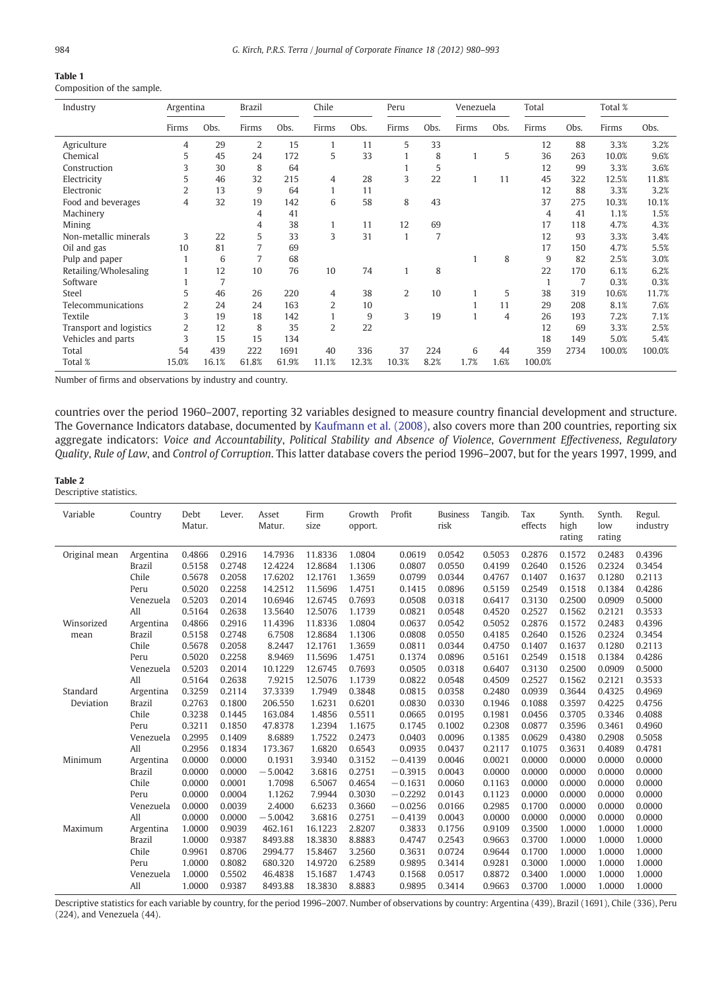# <span id="page-4-0"></span>Table 1

Composition of the sample.

| Industry                | Argentina      |       | <b>Brazil</b> |       | Chile          |       | Peru  |      | Venezuela |      | Total          |      | Total % |        |
|-------------------------|----------------|-------|---------------|-------|----------------|-------|-------|------|-----------|------|----------------|------|---------|--------|
|                         | Firms          | Obs.  | Firms         | Obs.  | Firms          | Obs.  | Firms | Obs. | Firms     | Obs. | Firms          | Obs. | Firms   | Obs.   |
| Agriculture             | 4              | 29    | 2             | 15    |                | 11    | 5     | 33   |           |      | 12             | 88   | 3.3%    | 3.2%   |
| Chemical                | 5              | 45    | 24            | 172   | 5              | 33    |       | 8    |           | 5    | 36             | 263  | 10.0%   | 9.6%   |
| Construction            | 3              | 30    | 8             | 64    |                |       |       | 5    |           |      | 12             | 99   | 3.3%    | 3.6%   |
| Electricity             | 5              | 46    | 32            | 215   | 4              | 28    | 3     | 22   |           | 11   | 45             | 322  | 12.5%   | 11.8%  |
| Electronic              | 2              | 13    | 9             | 64    | $\mathbf{1}$   | 11    |       |      |           |      | 12             | 88   | 3.3%    | 3.2%   |
| Food and beverages      | 4              | 32    | 19            | 142   | 6              | 58    | 8     | 43   |           |      | 37             | 275  | 10.3%   | 10.1%  |
| Machinery               |                |       | 4             | 41    |                |       |       |      |           |      | $\overline{4}$ | 41   | 1.1%    | 1.5%   |
| Mining                  |                |       | 4             | 38    |                | 11    | 12    | 69   |           |      | 17             | 118  | 4.7%    | 4.3%   |
| Non-metallic minerals   | 3              | 22    | 5             | 33    | 3              | 31    | 1     | 7    |           |      | 12             | 93   | 3.3%    | 3.4%   |
| Oil and gas             | 10             | 81    | 7             | 69    |                |       |       |      |           |      | 17             | 150  | 4.7%    | 5.5%   |
| Pulp and paper          |                | 6     | 7             | 68    |                |       |       |      | 1         | 8    | 9              | 82   | 2.5%    | 3.0%   |
| Retailing/Wholesaling   |                | 12    | 10            | 76    | 10             | 74    | 1     | 8    |           |      | 22             | 170  | 6.1%    | 6.2%   |
| Software                |                | 7     |               |       |                |       |       |      |           |      |                | 7    | 0.3%    | 0.3%   |
| Steel                   | 5              | 46    | 26            | 220   | 4              | 38    | 2     | 10   |           | 5    | 38             | 319  | 10.6%   | 11.7%  |
| Telecommunications      |                | 24    | 24            | 163   | 2              | 10    |       |      |           | 11   | 29             | 208  | 8.1%    | 7.6%   |
| Textile                 | 3              | 19    | 18            | 142   |                | 9     | 3     | 19   |           | 4    | 26             | 193  | 7.2%    | 7.1%   |
| Transport and logistics | $\overline{2}$ | 12    | 8             | 35    | $\overline{2}$ | 22    |       |      |           |      | 12             | 69   | 3.3%    | 2.5%   |
| Vehicles and parts      | 3              | 15    | 15            | 134   |                |       |       |      |           |      | 18             | 149  | 5.0%    | 5.4%   |
| Total                   | 54             | 439   | 222           | 1691  | 40             | 336   | 37    | 224  | 6         | 44   | 359            | 2734 | 100.0%  | 100.0% |
| Total %                 | 15.0%          | 16.1% | 61.8%         | 61.9% | 11.1%          | 12.3% | 10.3% | 8.2% | 1.7%      | 1.6% | 100.0%         |      |         |        |

Number of firms and observations by industry and country.

countries over the period 1960–2007, reporting 32 variables designed to measure country financial development and structure. The Governance Indicators database, documented by [Kaufmann et al. \(2008\),](#page-13-0) also covers more than 200 countries, reporting six aggregate indicators: Voice and Accountability, Political Stability and Absence of Violence, Government Effectiveness, Regulatory Quality, Rule of Law, and Control of Corruption. This latter database covers the period 1996–2007, but for the years 1997, 1999, and

#### Table 2

Descriptive statistics.

| Variable      | Country       | Debt<br>Matur. | Lever. | Asset<br>Matur. | Firm<br>size | Growth<br>opport. | Profit    | <b>Business</b><br>risk | Tangib. | Tax<br>effects | Synth.<br>high<br>rating | Synth.<br>low<br>rating | Regul.<br>industry |
|---------------|---------------|----------------|--------|-----------------|--------------|-------------------|-----------|-------------------------|---------|----------------|--------------------------|-------------------------|--------------------|
| Original mean | Argentina     | 0.4866         | 0.2916 | 14.7936         | 11.8336      | 1.0804            | 0.0619    | 0.0542                  | 0.5053  | 0.2876         | 0.1572                   | 0.2483                  | 0.4396             |
|               | <b>Brazil</b> | 0.5158         | 0.2748 | 12.4224         | 12.8684      | 1.1306            | 0.0807    | 0.0550                  | 0.4199  | 0.2640         | 0.1526                   | 0.2324                  | 0.3454             |
|               | Chile         | 0.5678         | 0.2058 | 17.6202         | 12.1761      | 1.3659            | 0.0799    | 0.0344                  | 0.4767  | 0.1407         | 0.1637                   | 0.1280                  | 0.2113             |
|               | Peru          | 0.5020         | 0.2258 | 14.2512         | 11.5696      | 1.4751            | 0.1415    | 0.0896                  | 0.5159  | 0.2549         | 0.1518                   | 0.1384                  | 0.4286             |
|               | Venezuela     | 0.5203         | 0.2014 | 10.6946         | 12.6745      | 0.7693            | 0.0508    | 0.0318                  | 0.6417  | 0.3130         | 0.2500                   | 0.0909                  | 0.5000             |
|               | All           | 0.5164         | 0.2638 | 13.5640         | 12.5076      | 1.1739            | 0.0821    | 0.0548                  | 0.4520  | 0.2527         | 0.1562                   | 0.2121                  | 0.3533             |
| Winsorized    | Argentina     | 0.4866         | 0.2916 | 11.4396         | 11.8336      | 1.0804            | 0.0637    | 0.0542                  | 0.5052  | 0.2876         | 0.1572                   | 0.2483                  | 0.4396             |
| mean          | <b>Brazil</b> | 0.5158         | 0.2748 | 6.7508          | 12.8684      | 1.1306            | 0.0808    | 0.0550                  | 0.4185  | 0.2640         | 0.1526                   | 0.2324                  | 0.3454             |
|               | Chile         | 0.5678         | 0.2058 | 8.2447          | 12.1761      | 1.3659            | 0.0811    | 0.0344                  | 0.4750  | 0.1407         | 0.1637                   | 0.1280                  | 0.2113             |
|               | Peru          | 0.5020         | 0.2258 | 8.9469          | 11.5696      | 1.4751            | 0.1374    | 0.0896                  | 0.5161  | 0.2549         | 0.1518                   | 0.1384                  | 0.4286             |
|               | Venezuela     | 0.5203         | 0.2014 | 10.1229         | 12.6745      | 0.7693            | 0.0505    | 0.0318                  | 0.6407  | 0.3130         | 0.2500                   | 0.0909                  | 0.5000             |
|               | All           | 0.5164         | 0.2638 | 7.9215          | 12.5076      | 1.1739            | 0.0822    | 0.0548                  | 0.4509  | 0.2527         | 0.1562                   | 0.2121                  | 0.3533             |
| Standard      | Argentina     | 0.3259         | 0.2114 | 37.3339         | 1.7949       | 0.3848            | 0.0815    | 0.0358                  | 0.2480  | 0.0939         | 0.3644                   | 0.4325                  | 0.4969             |
| Deviation     | <b>Brazil</b> | 0.2763         | 0.1800 | 206.550         | 1.6231       | 0.6201            | 0.0830    | 0.0330                  | 0.1946  | 0.1088         | 0.3597                   | 0.4225                  | 0.4756             |
|               | Chile         | 0.3238         | 0.1445 | 163.084         | 1.4856       | 0.5511            | 0.0665    | 0.0195                  | 0.1981  | 0.0456         | 0.3705                   | 0.3346                  | 0.4088             |
|               | Peru          | 0.3211         | 0.1850 | 47.8378         | 1.2394       | 1.1675            | 0.1745    | 0.1002                  | 0.2308  | 0.0877         | 0.3596                   | 0.3461                  | 0.4960             |
|               | Venezuela     | 0.2995         | 0.1409 | 8.6889          | 1.7522       | 0.2473            | 0.0403    | 0.0096                  | 0.1385  | 0.0629         | 0.4380                   | 0.2908                  | 0.5058             |
|               | All           | 0.2956         | 0.1834 | 173.367         | 1.6820       | 0.6543            | 0.0935    | 0.0437                  | 0.2117  | 0.1075         | 0.3631                   | 0.4089                  | 0.4781             |
| Minimum       | Argentina     | 0.0000         | 0.0000 | 0.1931          | 3.9340       | 0.3152            | $-0.4139$ | 0.0046                  | 0.0021  | 0.0000         | 0.0000                   | 0.0000                  | 0.0000             |
|               | <b>Brazil</b> | 0.0000         | 0.0000 | $-5.0042$       | 3.6816       | 0.2751            | $-0.3915$ | 0.0043                  | 0.0000  | 0.0000         | 0.0000                   | 0.0000                  | 0.0000             |
|               | Chile         | 0.0000         | 0.0001 | 1.7098          | 6.5067       | 0.4654            | $-0.1631$ | 0.0060                  | 0.1163  | 0.0000         | 0.0000                   | 0.0000                  | 0.0000             |
|               | Peru          | 0.0000         | 0.0004 | 1.1262          | 7.9944       | 0.3030            | $-0.2292$ | 0.0143                  | 0.1123  | 0.0000         | 0.0000                   | 0.0000                  | 0.0000             |
|               | Venezuela     | 0.0000         | 0.0039 | 2.4000          | 6.6233       | 0.3660            | $-0.0256$ | 0.0166                  | 0.2985  | 0.1700         | 0.0000                   | 0.0000                  | 0.0000             |
|               | All           | 0.0000         | 0.0000 | $-5.0042$       | 3.6816       | 0.2751            | $-0.4139$ | 0.0043                  | 0.0000  | 0.0000         | 0.0000                   | 0.0000                  | 0.0000             |
| Maximum       | Argentina     | 1.0000         | 0.9039 | 462.161         | 16.1223      | 2.8207            | 0.3833    | 0.1756                  | 0.9109  | 0.3500         | 1.0000                   | 1.0000                  | 1.0000             |
|               | <b>Brazil</b> | 1.0000         | 0.9387 | 8493.88         | 18.3830      | 8.8883            | 0.4747    | 0.2543                  | 0.9663  | 0.3700         | 1.0000                   | 1.0000                  | 1.0000             |
|               | Chile         | 0.9961         | 0.8706 | 2994.77         | 15.8467      | 3.2560            | 0.3631    | 0.0724                  | 0.9644  | 0.1700         | 1.0000                   | 1.0000                  | 1.0000             |
|               | Peru          | 1.0000         | 0.8082 | 680.320         | 14.9720      | 6.2589            | 0.9895    | 0.3414                  | 0.9281  | 0.3000         | 1.0000                   | 1.0000                  | 1.0000             |
|               | Venezuela     | 1.0000         | 0.5502 | 46.4838         | 15.1687      | 1.4743            | 0.1568    | 0.0517                  | 0.8872  | 0.3400         | 1.0000                   | 1.0000                  | 1.0000             |
|               | All           | 1.0000         | 0.9387 | 8493.88         | 18.3830      | 8.8883            | 0.9895    | 0.3414                  | 0.9663  | 0.3700         | 1.0000                   | 1.0000                  | 1.0000             |

Descriptive statistics for each variable by country, for the period 1996–2007. Number of observations by country: Argentina (439), Brazil (1691), Chile (336), Peru (224), and Venezuela (44).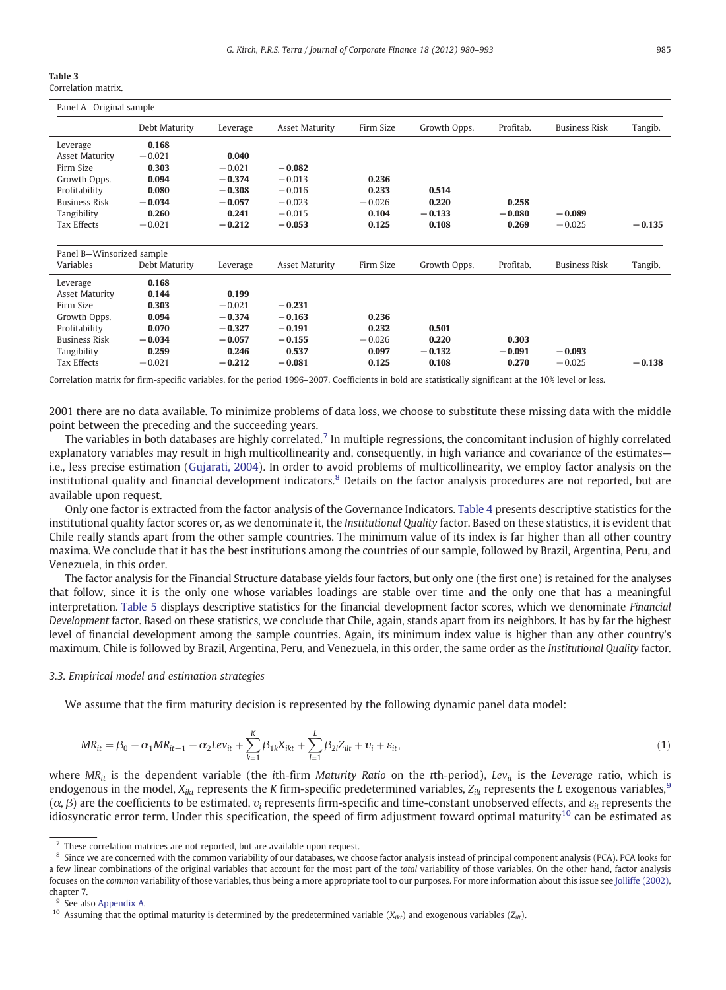<span id="page-5-0"></span>Correlation matrix.

|  | Panel A-Original sample |  |
|--|-------------------------|--|
|  |                         |  |

|                           | Debt Maturity | Leverage | <b>Asset Maturity</b> | Firm Size | Growth Opps. | Profitab. | <b>Business Risk</b> | Tangib.  |
|---------------------------|---------------|----------|-----------------------|-----------|--------------|-----------|----------------------|----------|
| Leverage                  | 0.168         |          |                       |           |              |           |                      |          |
| <b>Asset Maturity</b>     | $-0.021$      | 0.040    |                       |           |              |           |                      |          |
| Firm Size                 | 0.303         | $-0.021$ | $-0.082$              |           |              |           |                      |          |
| Growth Opps.              | 0.094         | $-0.374$ | $-0.013$              | 0.236     |              |           |                      |          |
| Profitability             | 0.080         | $-0.308$ | $-0.016$              | 0.233     | 0.514        |           |                      |          |
| <b>Business Risk</b>      | $-0.034$      | $-0.057$ | $-0.023$              | $-0.026$  | 0.220        | 0.258     |                      |          |
| Tangibility               | 0.260         | 0.241    | $-0.015$              | 0.104     | $-0.133$     | $-0.080$  | $-0.089$             |          |
| <b>Tax Effects</b>        | $-0.021$      | $-0.212$ | $-0.053$              | 0.125     | 0.108        | 0.269     | $-0.025$             | $-0.135$ |
|                           |               |          |                       |           |              |           |                      |          |
| Panel B-Winsorized sample |               |          |                       |           |              |           |                      |          |
| Variables                 | Debt Maturity | Leverage | <b>Asset Maturity</b> | Firm Size | Growth Opps. | Profitab. | <b>Business Risk</b> | Tangib.  |
| Leverage                  | 0.168         |          |                       |           |              |           |                      |          |
| <b>Asset Maturity</b>     | 0.144         | 0.199    |                       |           |              |           |                      |          |
| Firm Size                 | 0.303         | $-0.021$ | $-0.231$              |           |              |           |                      |          |
| Growth Opps.              | 0.094         | $-0.374$ | $-0.163$              | 0.236     |              |           |                      |          |
| Profitability             | 0.070         | $-0.327$ | $-0.191$              | 0.232     | 0.501        |           |                      |          |
| <b>Business Risk</b>      | $-0.034$      | $-0.057$ | $-0.155$              | $-0.026$  | 0.220        | 0.303     |                      |          |
| Tangibility               | 0.259         | 0.246    | 0.537                 | 0.097     | $-0.132$     | $-0.091$  | $-0.093$             |          |
| <b>Tax Effects</b>        | $-0.021$      | $-0.212$ | $-0.081$              | 0.125     | 0.108        | 0.270     | $-0.025$             | $-0.138$ |

Correlation matrix for firm-specific variables, for the period 1996–2007. Coefficients in bold are statistically significant at the 10% level or less.

2001 there are no data available. To minimize problems of data loss, we choose to substitute these missing data with the middle point between the preceding and the succeeding years.

The variables in both databases are highly correlated.<sup>7</sup> In multiple regressions, the concomitant inclusion of highly correlated explanatory variables may result in high multicollinearity and, consequently, in high variance and covariance of the estimates i.e., less precise estimation ([Gujarati, 2004\)](#page-13-0). In order to avoid problems of multicollinearity, we employ factor analysis on the institutional quality and financial development indicators.<sup>8</sup> Details on the factor analysis procedures are not reported, but are available upon request.

Only one factor is extracted from the factor analysis of the Governance Indicators. [Table 4](#page-6-0) presents descriptive statistics for the institutional quality factor scores or, as we denominate it, the Institutional Quality factor. Based on these statistics, it is evident that Chile really stands apart from the other sample countries. The minimum value of its index is far higher than all other country maxima. We conclude that it has the best institutions among the countries of our sample, followed by Brazil, Argentina, Peru, and Venezuela, in this order.

The factor analysis for the Financial Structure database yields four factors, but only one (the first one) is retained for the analyses that follow, since it is the only one whose variables loadings are stable over time and the only one that has a meaningful interpretation. [Table 5](#page-6-0) displays descriptive statistics for the financial development factor scores, which we denominate Financial Development factor. Based on these statistics, we conclude that Chile, again, stands apart from its neighbors. It has by far the highest level of financial development among the sample countries. Again, its minimum index value is higher than any other country's maximum. Chile is followed by Brazil, Argentina, Peru, and Venezuela, in this order, the same order as the Institutional Quality factor.

#### 3.3. Empirical model and estimation strategies

We assume that the firm maturity decision is represented by the following dynamic panel data model:

$$
MR_{it} = \beta_0 + \alpha_1 MR_{it-1} + \alpha_2 Lev_{it} + \sum_{k=1}^{K} \beta_{1k} X_{ikt} + \sum_{l=1}^{L} \beta_{2l} Z_{ilt} + v_i + \varepsilon_{it},
$$
\n(1)

where  $MR_{it}$  is the dependent variable (the ith-firm Maturity Ratio on the tth-period), Lev<sub>it</sub> is the Leverage ratio, which is endogenous in the model,  $X_{ikt}$  represents the K firm-specific predetermined variables,  $Z_{ilt}$  represents the L exogenous variables,<sup>9</sup>  $(\alpha, \beta)$  are the coefficients to be estimated,  $v_i$  represents firm-specific and time-constant unobserved effects, and  $\varepsilon_{it}$  represents the idiosyncratic error term. Under this specification, the speed of firm adjustment toward optimal maturity<sup>10</sup> can be estimated as

<sup>&</sup>lt;sup>7</sup> These correlation matrices are not reported, but are available upon request.

<sup>&</sup>lt;sup>8</sup> Since we are concerned with the common variability of our databases, we choose factor analysis instead of principal component analysis (PCA). PCA looks for a few linear combinations of the original variables that account for the most part of the *total* variability of those variables. On the other hand, factor analysis focuses on the common variability of those variables, thus being a more appropriate tool to our purposes. For more information about this issue see [Jolliffe \(2002\),](#page-13-0) chapter 7.

<sup>&</sup>lt;sup>9</sup> See also [Appendix A.](#page-12-0)

<sup>&</sup>lt;sup>10</sup> Assuming that the optimal maturity is determined by the predetermined variable  $(X_{ikt})$  and exogenous variables  $(Z_{ilt})$ .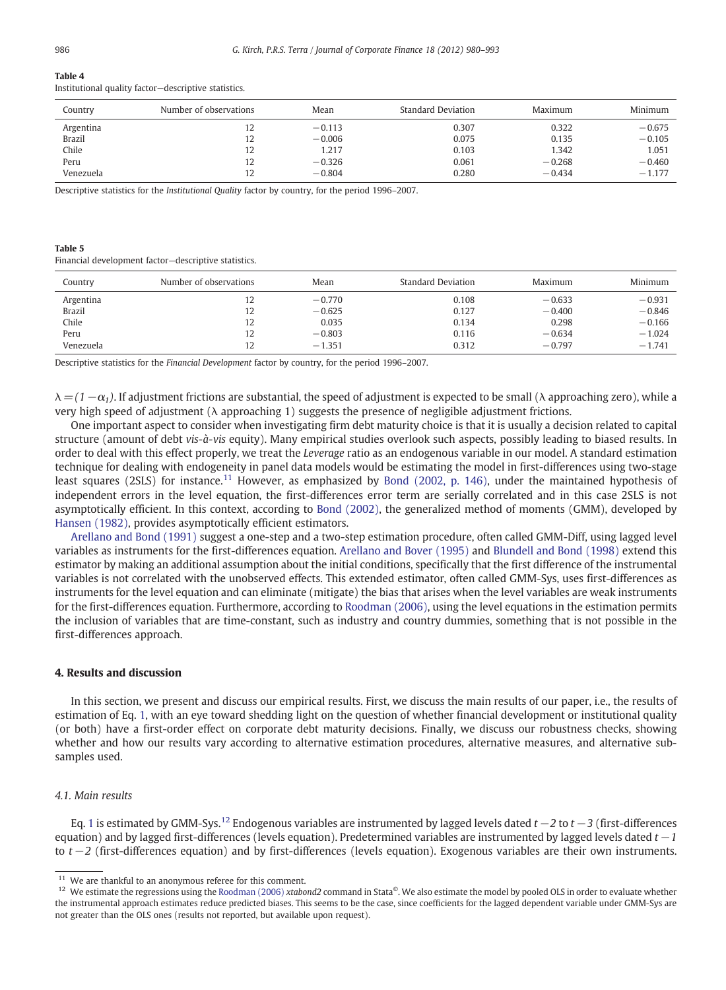#### <span id="page-6-0"></span>Table 4

Institutional quality factor—descriptive statistics.

| Country       | Number of observations | Mean     | Standard Deviation | Maximum  | Minimum  |
|---------------|------------------------|----------|--------------------|----------|----------|
| Argentina     | 12                     | $-0.113$ | 0.307              | 0.322    | $-0.675$ |
| <b>Brazil</b> | 12                     | $-0.006$ | 0.075              | 0.135    | $-0.105$ |
| Chile         | 12                     | 1.217    | 0.103              | 1.342    | 1.051    |
| Peru          | 12                     | $-0.326$ | 0.061              | $-0.268$ | $-0.460$ |
| Venezuela     | 12                     | $-0.804$ | 0.280              | $-0.434$ | $-1.177$ |

Descriptive statistics for the Institutional Quality factor by country, for the period 1996–2007.

#### Table 5

Financial development factor—descriptive statistics.

| Country   | Number of observations | Mean     | Standard Deviation | Maximum  | Minimum  |
|-----------|------------------------|----------|--------------------|----------|----------|
| Argentina | 12                     | $-0.770$ | 0.108              | $-0.633$ | $-0.931$ |
| Brazil    |                        | $-0.625$ | 0.127              | $-0.400$ | $-0.846$ |
| Chile     | 12                     | 0.035    | 0.134              | 0.298    | $-0.166$ |
| Peru      |                        | $-0.803$ | 0.116              | $-0.634$ | $-1.024$ |
| Venezuela |                        | $-1.351$ | 0.312              | $-0.797$ | $-1.741$ |

Descriptive statistics for the Financial Development factor by country, for the period 1996–2007.

 $\lambda = (1 - \alpha_1)$ . If adjustment frictions are substantial, the speed of adjustment is expected to be small ( $\lambda$  approaching zero), while a very high speed of adjustment ( $\lambda$  approaching 1) suggests the presence of negligible adjustment frictions.

One important aspect to consider when investigating firm debt maturity choice is that it is usually a decision related to capital structure (amount of debt vis-à-vis equity). Many empirical studies overlook such aspects, possibly leading to biased results. In order to deal with this effect properly, we treat the Leverage ratio as an endogenous variable in our model. A standard estimation technique for dealing with endogeneity in panel data models would be estimating the model in first-differences using two-stage least squares (2SLS) for instance.<sup>11</sup> However, as emphasized by [Bond \(2002, p. 146\)](#page-12-0), under the maintained hypothesis of independent errors in the level equation, the first-differences error term are serially correlated and in this case 2SLS is not asymptotically efficient. In this context, according to [Bond \(2002\)](#page-12-0), the generalized method of moments (GMM), developed by [Hansen \(1982\)](#page-13-0), provides asymptotically efficient estimators.

[Arellano and Bond \(1991\)](#page-12-0) suggest a one-step and a two-step estimation procedure, often called GMM-Diff, using lagged level variables as instruments for the first-differences equation. [Arellano and Bover \(1995\)](#page-12-0) and [Blundell and Bond \(1998\)](#page-12-0) extend this estimator by making an additional assumption about the initial conditions, specifically that the first difference of the instrumental variables is not correlated with the unobserved effects. This extended estimator, often called GMM-Sys, uses first-differences as instruments for the level equation and can eliminate (mitigate) the bias that arises when the level variables are weak instruments for the first-differences equation. Furthermore, according to [Roodman \(2006\),](#page-13-0) using the level equations in the estimation permits the inclusion of variables that are time-constant, such as industry and country dummies, something that is not possible in the first-differences approach.

#### 4. Results and discussion

In this section, we present and discuss our empirical results. First, we discuss the main results of our paper, i.e., the results of estimation of Eq. [1](#page-5-0), with an eye toward shedding light on the question of whether financial development or institutional quality (or both) have a first-order effect on corporate debt maturity decisions. Finally, we discuss our robustness checks, showing whether and how our results vary according to alternative estimation procedures, alternative measures, and alternative subsamples used.

#### 4.1. Main results

Eq. [1](#page-5-0) is estimated by GMM-Sys.<sup>12</sup> Endogenous variables are instrumented by lagged levels dated  $t-2$  to  $t-3$  (first-differences equation) and by lagged first-differences (levels equation). Predetermined variables are instrumented by lagged levels dated  $t-1$ to t−2 (first-differences equation) and by first-differences (levels equation). Exogenous variables are their own instruments.

 $11$  We are thankful to an anonymous referee for this comment.

<sup>&</sup>lt;sup>12</sup> We estimate the regressions using the [Roodman \(2006\)](#page-13-0) xtabond2 command in Stata®. We also estimate the model by pooled OLS in order to evaluate whether the instrumental approach estimates reduce predicted biases. This seems to be the case, since coefficients for the lagged dependent variable under GMM-Sys are not greater than the OLS ones (results not reported, but available upon request).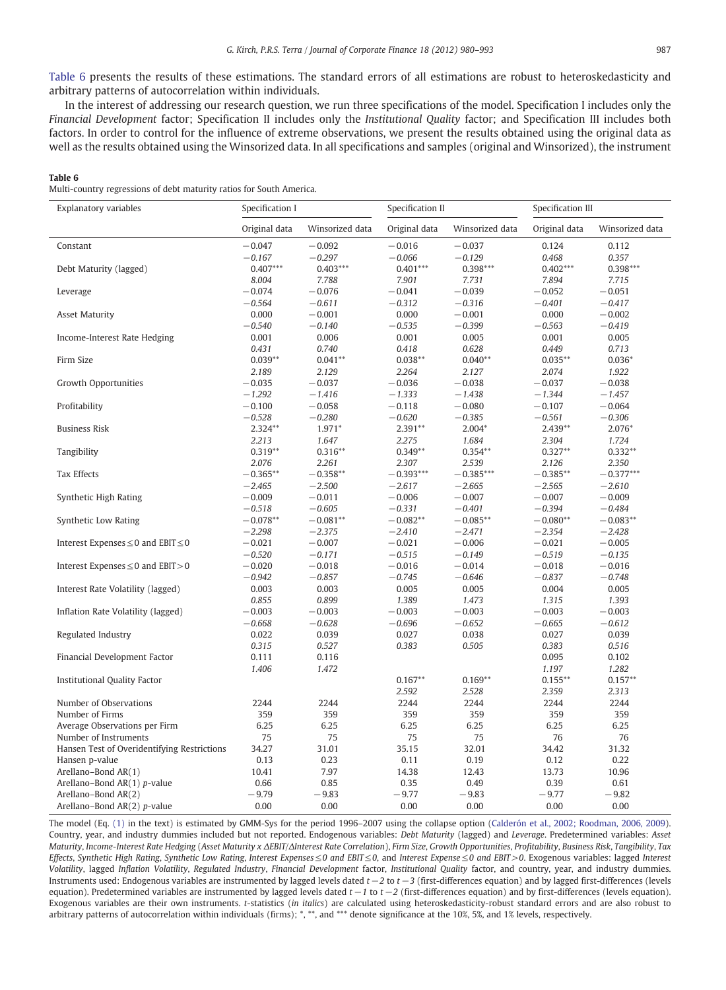<span id="page-7-0"></span>Table 6 presents the results of these estimations. The standard errors of all estimations are robust to heteroskedasticity and arbitrary patterns of autocorrelation within individuals.

In the interest of addressing our research question, we run three specifications of the model. Specification I includes only the Financial Development factor; Specification II includes only the Institutional Quality factor; and Specification III includes both factors. In order to control for the influence of extreme observations, we present the results obtained using the original data as well as the results obtained using the Winsorized data. In all specifications and samples (original and Winsorized), the instrument

#### Table 6

Multi-country regressions of debt maturity ratios for South America.

| Original data<br>Winsorized data<br>Original data<br>Winsorized data<br>Original data<br>Winsorized data<br>$-0.047$<br>$-0.092$<br>$-0.016$<br>$-0.037$<br>0.124<br>0.112<br>Constant<br>$-0.167$<br>$-0.297$<br>$-0.066$<br>$-0.129$<br>0.468<br>0.357<br>$0.407***$<br>$0.403***$<br>$0.401***$<br>$0.398***$<br>$0.402***$<br>$0.398***$<br>Debt Maturity (lagged)<br>7.788<br>7.731<br>8.004<br>7.901<br>7.894<br>7.715<br>$-0.074$<br>$-0.076$<br>$-0.041$<br>$-0.039$<br>$-0.052$<br>$-0.051$<br>Leverage<br>$-0.611$<br>$-0.564$<br>$-0.312$<br>$-0.316$<br>$-0.401$<br>$-0.417$<br>0.000<br>$-0.001$<br>0.000<br>$-0.001$<br>0.000<br>$-0.002$<br><b>Asset Maturity</b><br>$-0.399$<br>$-0.540$<br>$-0.140$<br>$-0.535$<br>$-0.563$<br>$-0.419$<br>0.001<br>0.006<br>0.001<br>0.005<br>0.001<br>0.005<br>Income-Interest Rate Hedging<br>0.431<br>0.740<br>0.628<br>0.713<br>0.418<br>0.449<br>Firm Size<br>$0.039**$<br>$0.041**$<br>$0.038**$<br>$0.040**$<br>$0.036*$<br>$0.035***$<br>2.189<br>2.129<br>2.264<br>2.127<br>2.074<br>1.922<br>$-0.035$<br>$-0.037$<br>$-0.036$<br>$-0.038$<br>$-0.037$<br>$-0.038$<br>Growth Opportunities<br>$-1.292$<br>$-1.333$<br>$-1.344$<br>$-1.457$<br>$-1.416$<br>$-1.438$<br>$-0.064$<br>Profitability<br>$-0.100$<br>$-0.058$<br>$-0.118$<br>$-0.080$<br>$-0.107$<br>$-0.306$<br>$-0.528$<br>$-0.280$<br>$-0.620$<br>$-0.385$<br>$-0.561$<br>2.324**<br>1.971*<br>$2.391**$<br>$2.004*$<br>2.439**<br>$2.076*$<br><b>Business Risk</b><br>2.213<br>1.647<br>2.304<br>2.275<br>1.684<br>1.724<br>$0.319**$<br>$0.316***$<br>$0.349**$<br>$0.354**$<br>$0.327**$<br>$0.332**$<br>Tangibility<br>2.076<br>2.261<br>2.307<br>2.539<br>2.350<br>2.126<br><b>Tax Effects</b><br>$-0.365**$<br>$-0.358**$<br>$-0.393***$<br>$-0.385***$<br>$-0.385**$<br>$-0.377***$<br>$-2.465$<br>$-2.500$<br>$-2.617$<br>$-2.665$<br>$-2.565$<br>$-2.610$<br>$-0.009$<br>$-0.011$<br>$-0.006$<br>$-0.007$<br>$-0.007$<br>$-0.009$<br>Synthetic High Rating<br>$-0.605$<br>$-0.394$<br>$-0.518$<br>$-0.331$<br>$-0.401$<br>$-0.484$<br>$-0.078**$<br>$-0.081**$<br>$-0.080**$<br>Synthetic Low Rating<br>$-0.082**$<br>$-0.085**$<br>$-0.083**$<br>$-2.298$<br>$-2.375$<br>$-2.354$<br>$-2.428$<br>$-2.410$<br>$-2.471$<br>$-0.021$<br>$-0.007$<br>$-0.021$<br>$-0.006$<br>$-0.021$<br>$-0.005$<br>Interest Expenses $\leq$ 0 and EBIT $\leq$ 0<br>$-0.519$<br>$-0.520$<br>$-0.171$<br>$-0.515$<br>$-0.149$<br>$-0.135$<br>$-0.020$<br>$-0.018$<br>$-0.016$<br>$-0.018$<br>$-0.016$<br>Interest Expenses $\leq$ 0 and EBIT $>$ 0<br>$-0.014$<br>$-0.942$<br>$-0.857$<br>$-0.745$<br>$-0.646$<br>$-0.837$<br>$-0.748$<br>0.005<br>Interest Rate Volatility (lagged)<br>0.003<br>0.003<br>0.005<br>0.005<br>0.004<br>0.855<br>0.899<br>1.389<br>1.473<br>1.315<br>1.393<br>$-0.003$<br>$-0.003$<br>Inflation Rate Volatility (lagged)<br>$-0.003$<br>$-0.003$<br>$-0.003$<br>$-0.003$<br>$-0.668$<br>$-0.628$<br>$-0.696$<br>$-0.652$<br>$-0.665$<br>$-0.612$<br>Regulated Industry<br>0.022<br>0.039<br>0.027<br>0.038<br>0.027<br>0.039<br>0.315<br>0.527<br>0.383<br>0.505<br>0.383<br>0.516<br>Financial Development Factor<br>0.111<br>0.116<br>0.095<br>0.102<br>1.406<br>1.472<br>1.197<br>1.282<br><b>Institutional Quality Factor</b><br>$0.167**$<br>$0.169**$<br>$0.155***$<br>$0.157**$<br>2.592<br>2.528<br>2.359<br>2.313<br>Number of Observations<br>2244<br>2244<br>2244<br>2244<br>2244<br>2244<br>Number of Firms<br>359<br>359<br>359<br>359<br>359<br>359<br>6.25<br>6.25<br>6.25<br>Average Observations per Firm<br>6.25<br>6.25<br>6.25<br>Number of Instruments<br>75<br>75<br>75<br>75<br>76<br>76<br>35.15<br>Hansen Test of Overidentifying Restrictions<br>34.27<br>31.01<br>32.01<br>34.42<br>31.32<br>0.23<br>0.19<br>0.22<br>Hansen p-value<br>0.13<br>0.11<br>0.12<br>7.97<br>Arellano-Bond AR(1)<br>10.41<br>14.38<br>12.43<br>13.73<br>10.96<br>0.66<br>0.85<br>0.35<br>0.49<br>0.39<br>Arellano-Bond AR $(1)$ p-value<br>0.61<br>$-9.79$<br>$-9.77$<br>$-9.83$<br>Arellano-Bond AR(2)<br>$-9.83$<br>$-9.77$<br>$-9.82$ | <b>Explanatory variables</b>   | Specification I |      | Specification II |      | Specification III |      |  |
|------------------------------------------------------------------------------------------------------------------------------------------------------------------------------------------------------------------------------------------------------------------------------------------------------------------------------------------------------------------------------------------------------------------------------------------------------------------------------------------------------------------------------------------------------------------------------------------------------------------------------------------------------------------------------------------------------------------------------------------------------------------------------------------------------------------------------------------------------------------------------------------------------------------------------------------------------------------------------------------------------------------------------------------------------------------------------------------------------------------------------------------------------------------------------------------------------------------------------------------------------------------------------------------------------------------------------------------------------------------------------------------------------------------------------------------------------------------------------------------------------------------------------------------------------------------------------------------------------------------------------------------------------------------------------------------------------------------------------------------------------------------------------------------------------------------------------------------------------------------------------------------------------------------------------------------------------------------------------------------------------------------------------------------------------------------------------------------------------------------------------------------------------------------------------------------------------------------------------------------------------------------------------------------------------------------------------------------------------------------------------------------------------------------------------------------------------------------------------------------------------------------------------------------------------------------------------------------------------------------------------------------------------------------------------------------------------------------------------------------------------------------------------------------------------------------------------------------------------------------------------------------------------------------------------------------------------------------------------------------------------------------------------------------------------------------------------------------------------------------------------------------------------------------------------------------------------------------------------------------------------------------------------------------------------------------------------------------------------------------------------------------------------------------------------------------------------------------------------------------------------------------------------------------------------------------------------------------------------------------------------------------------------------------------------------------------------------------------------------------------------------------------------------------------------------------------------------------------------------------------------------------------------------------------------------------------------------------------------------------------------------------------------------------------------------------------------------------|--------------------------------|-----------------|------|------------------|------|-------------------|------|--|
|                                                                                                                                                                                                                                                                                                                                                                                                                                                                                                                                                                                                                                                                                                                                                                                                                                                                                                                                                                                                                                                                                                                                                                                                                                                                                                                                                                                                                                                                                                                                                                                                                                                                                                                                                                                                                                                                                                                                                                                                                                                                                                                                                                                                                                                                                                                                                                                                                                                                                                                                                                                                                                                                                                                                                                                                                                                                                                                                                                                                                                                                                                                                                                                                                                                                                                                                                                                                                                                                                                                                                                                                                                                                                                                                                                                                                                                                                                                                                                                                                                                                                          |                                |                 |      |                  |      |                   |      |  |
|                                                                                                                                                                                                                                                                                                                                                                                                                                                                                                                                                                                                                                                                                                                                                                                                                                                                                                                                                                                                                                                                                                                                                                                                                                                                                                                                                                                                                                                                                                                                                                                                                                                                                                                                                                                                                                                                                                                                                                                                                                                                                                                                                                                                                                                                                                                                                                                                                                                                                                                                                                                                                                                                                                                                                                                                                                                                                                                                                                                                                                                                                                                                                                                                                                                                                                                                                                                                                                                                                                                                                                                                                                                                                                                                                                                                                                                                                                                                                                                                                                                                                          |                                |                 |      |                  |      |                   |      |  |
|                                                                                                                                                                                                                                                                                                                                                                                                                                                                                                                                                                                                                                                                                                                                                                                                                                                                                                                                                                                                                                                                                                                                                                                                                                                                                                                                                                                                                                                                                                                                                                                                                                                                                                                                                                                                                                                                                                                                                                                                                                                                                                                                                                                                                                                                                                                                                                                                                                                                                                                                                                                                                                                                                                                                                                                                                                                                                                                                                                                                                                                                                                                                                                                                                                                                                                                                                                                                                                                                                                                                                                                                                                                                                                                                                                                                                                                                                                                                                                                                                                                                                          |                                |                 |      |                  |      |                   |      |  |
|                                                                                                                                                                                                                                                                                                                                                                                                                                                                                                                                                                                                                                                                                                                                                                                                                                                                                                                                                                                                                                                                                                                                                                                                                                                                                                                                                                                                                                                                                                                                                                                                                                                                                                                                                                                                                                                                                                                                                                                                                                                                                                                                                                                                                                                                                                                                                                                                                                                                                                                                                                                                                                                                                                                                                                                                                                                                                                                                                                                                                                                                                                                                                                                                                                                                                                                                                                                                                                                                                                                                                                                                                                                                                                                                                                                                                                                                                                                                                                                                                                                                                          |                                |                 |      |                  |      |                   |      |  |
|                                                                                                                                                                                                                                                                                                                                                                                                                                                                                                                                                                                                                                                                                                                                                                                                                                                                                                                                                                                                                                                                                                                                                                                                                                                                                                                                                                                                                                                                                                                                                                                                                                                                                                                                                                                                                                                                                                                                                                                                                                                                                                                                                                                                                                                                                                                                                                                                                                                                                                                                                                                                                                                                                                                                                                                                                                                                                                                                                                                                                                                                                                                                                                                                                                                                                                                                                                                                                                                                                                                                                                                                                                                                                                                                                                                                                                                                                                                                                                                                                                                                                          |                                |                 |      |                  |      |                   |      |  |
|                                                                                                                                                                                                                                                                                                                                                                                                                                                                                                                                                                                                                                                                                                                                                                                                                                                                                                                                                                                                                                                                                                                                                                                                                                                                                                                                                                                                                                                                                                                                                                                                                                                                                                                                                                                                                                                                                                                                                                                                                                                                                                                                                                                                                                                                                                                                                                                                                                                                                                                                                                                                                                                                                                                                                                                                                                                                                                                                                                                                                                                                                                                                                                                                                                                                                                                                                                                                                                                                                                                                                                                                                                                                                                                                                                                                                                                                                                                                                                                                                                                                                          |                                |                 |      |                  |      |                   |      |  |
|                                                                                                                                                                                                                                                                                                                                                                                                                                                                                                                                                                                                                                                                                                                                                                                                                                                                                                                                                                                                                                                                                                                                                                                                                                                                                                                                                                                                                                                                                                                                                                                                                                                                                                                                                                                                                                                                                                                                                                                                                                                                                                                                                                                                                                                                                                                                                                                                                                                                                                                                                                                                                                                                                                                                                                                                                                                                                                                                                                                                                                                                                                                                                                                                                                                                                                                                                                                                                                                                                                                                                                                                                                                                                                                                                                                                                                                                                                                                                                                                                                                                                          |                                |                 |      |                  |      |                   |      |  |
|                                                                                                                                                                                                                                                                                                                                                                                                                                                                                                                                                                                                                                                                                                                                                                                                                                                                                                                                                                                                                                                                                                                                                                                                                                                                                                                                                                                                                                                                                                                                                                                                                                                                                                                                                                                                                                                                                                                                                                                                                                                                                                                                                                                                                                                                                                                                                                                                                                                                                                                                                                                                                                                                                                                                                                                                                                                                                                                                                                                                                                                                                                                                                                                                                                                                                                                                                                                                                                                                                                                                                                                                                                                                                                                                                                                                                                                                                                                                                                                                                                                                                          |                                |                 |      |                  |      |                   |      |  |
|                                                                                                                                                                                                                                                                                                                                                                                                                                                                                                                                                                                                                                                                                                                                                                                                                                                                                                                                                                                                                                                                                                                                                                                                                                                                                                                                                                                                                                                                                                                                                                                                                                                                                                                                                                                                                                                                                                                                                                                                                                                                                                                                                                                                                                                                                                                                                                                                                                                                                                                                                                                                                                                                                                                                                                                                                                                                                                                                                                                                                                                                                                                                                                                                                                                                                                                                                                                                                                                                                                                                                                                                                                                                                                                                                                                                                                                                                                                                                                                                                                                                                          |                                |                 |      |                  |      |                   |      |  |
|                                                                                                                                                                                                                                                                                                                                                                                                                                                                                                                                                                                                                                                                                                                                                                                                                                                                                                                                                                                                                                                                                                                                                                                                                                                                                                                                                                                                                                                                                                                                                                                                                                                                                                                                                                                                                                                                                                                                                                                                                                                                                                                                                                                                                                                                                                                                                                                                                                                                                                                                                                                                                                                                                                                                                                                                                                                                                                                                                                                                                                                                                                                                                                                                                                                                                                                                                                                                                                                                                                                                                                                                                                                                                                                                                                                                                                                                                                                                                                                                                                                                                          |                                |                 |      |                  |      |                   |      |  |
|                                                                                                                                                                                                                                                                                                                                                                                                                                                                                                                                                                                                                                                                                                                                                                                                                                                                                                                                                                                                                                                                                                                                                                                                                                                                                                                                                                                                                                                                                                                                                                                                                                                                                                                                                                                                                                                                                                                                                                                                                                                                                                                                                                                                                                                                                                                                                                                                                                                                                                                                                                                                                                                                                                                                                                                                                                                                                                                                                                                                                                                                                                                                                                                                                                                                                                                                                                                                                                                                                                                                                                                                                                                                                                                                                                                                                                                                                                                                                                                                                                                                                          |                                |                 |      |                  |      |                   |      |  |
|                                                                                                                                                                                                                                                                                                                                                                                                                                                                                                                                                                                                                                                                                                                                                                                                                                                                                                                                                                                                                                                                                                                                                                                                                                                                                                                                                                                                                                                                                                                                                                                                                                                                                                                                                                                                                                                                                                                                                                                                                                                                                                                                                                                                                                                                                                                                                                                                                                                                                                                                                                                                                                                                                                                                                                                                                                                                                                                                                                                                                                                                                                                                                                                                                                                                                                                                                                                                                                                                                                                                                                                                                                                                                                                                                                                                                                                                                                                                                                                                                                                                                          |                                |                 |      |                  |      |                   |      |  |
|                                                                                                                                                                                                                                                                                                                                                                                                                                                                                                                                                                                                                                                                                                                                                                                                                                                                                                                                                                                                                                                                                                                                                                                                                                                                                                                                                                                                                                                                                                                                                                                                                                                                                                                                                                                                                                                                                                                                                                                                                                                                                                                                                                                                                                                                                                                                                                                                                                                                                                                                                                                                                                                                                                                                                                                                                                                                                                                                                                                                                                                                                                                                                                                                                                                                                                                                                                                                                                                                                                                                                                                                                                                                                                                                                                                                                                                                                                                                                                                                                                                                                          |                                |                 |      |                  |      |                   |      |  |
|                                                                                                                                                                                                                                                                                                                                                                                                                                                                                                                                                                                                                                                                                                                                                                                                                                                                                                                                                                                                                                                                                                                                                                                                                                                                                                                                                                                                                                                                                                                                                                                                                                                                                                                                                                                                                                                                                                                                                                                                                                                                                                                                                                                                                                                                                                                                                                                                                                                                                                                                                                                                                                                                                                                                                                                                                                                                                                                                                                                                                                                                                                                                                                                                                                                                                                                                                                                                                                                                                                                                                                                                                                                                                                                                                                                                                                                                                                                                                                                                                                                                                          |                                |                 |      |                  |      |                   |      |  |
|                                                                                                                                                                                                                                                                                                                                                                                                                                                                                                                                                                                                                                                                                                                                                                                                                                                                                                                                                                                                                                                                                                                                                                                                                                                                                                                                                                                                                                                                                                                                                                                                                                                                                                                                                                                                                                                                                                                                                                                                                                                                                                                                                                                                                                                                                                                                                                                                                                                                                                                                                                                                                                                                                                                                                                                                                                                                                                                                                                                                                                                                                                                                                                                                                                                                                                                                                                                                                                                                                                                                                                                                                                                                                                                                                                                                                                                                                                                                                                                                                                                                                          |                                |                 |      |                  |      |                   |      |  |
|                                                                                                                                                                                                                                                                                                                                                                                                                                                                                                                                                                                                                                                                                                                                                                                                                                                                                                                                                                                                                                                                                                                                                                                                                                                                                                                                                                                                                                                                                                                                                                                                                                                                                                                                                                                                                                                                                                                                                                                                                                                                                                                                                                                                                                                                                                                                                                                                                                                                                                                                                                                                                                                                                                                                                                                                                                                                                                                                                                                                                                                                                                                                                                                                                                                                                                                                                                                                                                                                                                                                                                                                                                                                                                                                                                                                                                                                                                                                                                                                                                                                                          |                                |                 |      |                  |      |                   |      |  |
|                                                                                                                                                                                                                                                                                                                                                                                                                                                                                                                                                                                                                                                                                                                                                                                                                                                                                                                                                                                                                                                                                                                                                                                                                                                                                                                                                                                                                                                                                                                                                                                                                                                                                                                                                                                                                                                                                                                                                                                                                                                                                                                                                                                                                                                                                                                                                                                                                                                                                                                                                                                                                                                                                                                                                                                                                                                                                                                                                                                                                                                                                                                                                                                                                                                                                                                                                                                                                                                                                                                                                                                                                                                                                                                                                                                                                                                                                                                                                                                                                                                                                          |                                |                 |      |                  |      |                   |      |  |
|                                                                                                                                                                                                                                                                                                                                                                                                                                                                                                                                                                                                                                                                                                                                                                                                                                                                                                                                                                                                                                                                                                                                                                                                                                                                                                                                                                                                                                                                                                                                                                                                                                                                                                                                                                                                                                                                                                                                                                                                                                                                                                                                                                                                                                                                                                                                                                                                                                                                                                                                                                                                                                                                                                                                                                                                                                                                                                                                                                                                                                                                                                                                                                                                                                                                                                                                                                                                                                                                                                                                                                                                                                                                                                                                                                                                                                                                                                                                                                                                                                                                                          |                                |                 |      |                  |      |                   |      |  |
|                                                                                                                                                                                                                                                                                                                                                                                                                                                                                                                                                                                                                                                                                                                                                                                                                                                                                                                                                                                                                                                                                                                                                                                                                                                                                                                                                                                                                                                                                                                                                                                                                                                                                                                                                                                                                                                                                                                                                                                                                                                                                                                                                                                                                                                                                                                                                                                                                                                                                                                                                                                                                                                                                                                                                                                                                                                                                                                                                                                                                                                                                                                                                                                                                                                                                                                                                                                                                                                                                                                                                                                                                                                                                                                                                                                                                                                                                                                                                                                                                                                                                          |                                |                 |      |                  |      |                   |      |  |
|                                                                                                                                                                                                                                                                                                                                                                                                                                                                                                                                                                                                                                                                                                                                                                                                                                                                                                                                                                                                                                                                                                                                                                                                                                                                                                                                                                                                                                                                                                                                                                                                                                                                                                                                                                                                                                                                                                                                                                                                                                                                                                                                                                                                                                                                                                                                                                                                                                                                                                                                                                                                                                                                                                                                                                                                                                                                                                                                                                                                                                                                                                                                                                                                                                                                                                                                                                                                                                                                                                                                                                                                                                                                                                                                                                                                                                                                                                                                                                                                                                                                                          |                                |                 |      |                  |      |                   |      |  |
|                                                                                                                                                                                                                                                                                                                                                                                                                                                                                                                                                                                                                                                                                                                                                                                                                                                                                                                                                                                                                                                                                                                                                                                                                                                                                                                                                                                                                                                                                                                                                                                                                                                                                                                                                                                                                                                                                                                                                                                                                                                                                                                                                                                                                                                                                                                                                                                                                                                                                                                                                                                                                                                                                                                                                                                                                                                                                                                                                                                                                                                                                                                                                                                                                                                                                                                                                                                                                                                                                                                                                                                                                                                                                                                                                                                                                                                                                                                                                                                                                                                                                          |                                |                 |      |                  |      |                   |      |  |
|                                                                                                                                                                                                                                                                                                                                                                                                                                                                                                                                                                                                                                                                                                                                                                                                                                                                                                                                                                                                                                                                                                                                                                                                                                                                                                                                                                                                                                                                                                                                                                                                                                                                                                                                                                                                                                                                                                                                                                                                                                                                                                                                                                                                                                                                                                                                                                                                                                                                                                                                                                                                                                                                                                                                                                                                                                                                                                                                                                                                                                                                                                                                                                                                                                                                                                                                                                                                                                                                                                                                                                                                                                                                                                                                                                                                                                                                                                                                                                                                                                                                                          |                                |                 |      |                  |      |                   |      |  |
|                                                                                                                                                                                                                                                                                                                                                                                                                                                                                                                                                                                                                                                                                                                                                                                                                                                                                                                                                                                                                                                                                                                                                                                                                                                                                                                                                                                                                                                                                                                                                                                                                                                                                                                                                                                                                                                                                                                                                                                                                                                                                                                                                                                                                                                                                                                                                                                                                                                                                                                                                                                                                                                                                                                                                                                                                                                                                                                                                                                                                                                                                                                                                                                                                                                                                                                                                                                                                                                                                                                                                                                                                                                                                                                                                                                                                                                                                                                                                                                                                                                                                          |                                |                 |      |                  |      |                   |      |  |
|                                                                                                                                                                                                                                                                                                                                                                                                                                                                                                                                                                                                                                                                                                                                                                                                                                                                                                                                                                                                                                                                                                                                                                                                                                                                                                                                                                                                                                                                                                                                                                                                                                                                                                                                                                                                                                                                                                                                                                                                                                                                                                                                                                                                                                                                                                                                                                                                                                                                                                                                                                                                                                                                                                                                                                                                                                                                                                                                                                                                                                                                                                                                                                                                                                                                                                                                                                                                                                                                                                                                                                                                                                                                                                                                                                                                                                                                                                                                                                                                                                                                                          |                                |                 |      |                  |      |                   |      |  |
|                                                                                                                                                                                                                                                                                                                                                                                                                                                                                                                                                                                                                                                                                                                                                                                                                                                                                                                                                                                                                                                                                                                                                                                                                                                                                                                                                                                                                                                                                                                                                                                                                                                                                                                                                                                                                                                                                                                                                                                                                                                                                                                                                                                                                                                                                                                                                                                                                                                                                                                                                                                                                                                                                                                                                                                                                                                                                                                                                                                                                                                                                                                                                                                                                                                                                                                                                                                                                                                                                                                                                                                                                                                                                                                                                                                                                                                                                                                                                                                                                                                                                          |                                |                 |      |                  |      |                   |      |  |
|                                                                                                                                                                                                                                                                                                                                                                                                                                                                                                                                                                                                                                                                                                                                                                                                                                                                                                                                                                                                                                                                                                                                                                                                                                                                                                                                                                                                                                                                                                                                                                                                                                                                                                                                                                                                                                                                                                                                                                                                                                                                                                                                                                                                                                                                                                                                                                                                                                                                                                                                                                                                                                                                                                                                                                                                                                                                                                                                                                                                                                                                                                                                                                                                                                                                                                                                                                                                                                                                                                                                                                                                                                                                                                                                                                                                                                                                                                                                                                                                                                                                                          |                                |                 |      |                  |      |                   |      |  |
|                                                                                                                                                                                                                                                                                                                                                                                                                                                                                                                                                                                                                                                                                                                                                                                                                                                                                                                                                                                                                                                                                                                                                                                                                                                                                                                                                                                                                                                                                                                                                                                                                                                                                                                                                                                                                                                                                                                                                                                                                                                                                                                                                                                                                                                                                                                                                                                                                                                                                                                                                                                                                                                                                                                                                                                                                                                                                                                                                                                                                                                                                                                                                                                                                                                                                                                                                                                                                                                                                                                                                                                                                                                                                                                                                                                                                                                                                                                                                                                                                                                                                          |                                |                 |      |                  |      |                   |      |  |
|                                                                                                                                                                                                                                                                                                                                                                                                                                                                                                                                                                                                                                                                                                                                                                                                                                                                                                                                                                                                                                                                                                                                                                                                                                                                                                                                                                                                                                                                                                                                                                                                                                                                                                                                                                                                                                                                                                                                                                                                                                                                                                                                                                                                                                                                                                                                                                                                                                                                                                                                                                                                                                                                                                                                                                                                                                                                                                                                                                                                                                                                                                                                                                                                                                                                                                                                                                                                                                                                                                                                                                                                                                                                                                                                                                                                                                                                                                                                                                                                                                                                                          |                                |                 |      |                  |      |                   |      |  |
|                                                                                                                                                                                                                                                                                                                                                                                                                                                                                                                                                                                                                                                                                                                                                                                                                                                                                                                                                                                                                                                                                                                                                                                                                                                                                                                                                                                                                                                                                                                                                                                                                                                                                                                                                                                                                                                                                                                                                                                                                                                                                                                                                                                                                                                                                                                                                                                                                                                                                                                                                                                                                                                                                                                                                                                                                                                                                                                                                                                                                                                                                                                                                                                                                                                                                                                                                                                                                                                                                                                                                                                                                                                                                                                                                                                                                                                                                                                                                                                                                                                                                          |                                |                 |      |                  |      |                   |      |  |
|                                                                                                                                                                                                                                                                                                                                                                                                                                                                                                                                                                                                                                                                                                                                                                                                                                                                                                                                                                                                                                                                                                                                                                                                                                                                                                                                                                                                                                                                                                                                                                                                                                                                                                                                                                                                                                                                                                                                                                                                                                                                                                                                                                                                                                                                                                                                                                                                                                                                                                                                                                                                                                                                                                                                                                                                                                                                                                                                                                                                                                                                                                                                                                                                                                                                                                                                                                                                                                                                                                                                                                                                                                                                                                                                                                                                                                                                                                                                                                                                                                                                                          |                                |                 |      |                  |      |                   |      |  |
|                                                                                                                                                                                                                                                                                                                                                                                                                                                                                                                                                                                                                                                                                                                                                                                                                                                                                                                                                                                                                                                                                                                                                                                                                                                                                                                                                                                                                                                                                                                                                                                                                                                                                                                                                                                                                                                                                                                                                                                                                                                                                                                                                                                                                                                                                                                                                                                                                                                                                                                                                                                                                                                                                                                                                                                                                                                                                                                                                                                                                                                                                                                                                                                                                                                                                                                                                                                                                                                                                                                                                                                                                                                                                                                                                                                                                                                                                                                                                                                                                                                                                          |                                |                 |      |                  |      |                   |      |  |
|                                                                                                                                                                                                                                                                                                                                                                                                                                                                                                                                                                                                                                                                                                                                                                                                                                                                                                                                                                                                                                                                                                                                                                                                                                                                                                                                                                                                                                                                                                                                                                                                                                                                                                                                                                                                                                                                                                                                                                                                                                                                                                                                                                                                                                                                                                                                                                                                                                                                                                                                                                                                                                                                                                                                                                                                                                                                                                                                                                                                                                                                                                                                                                                                                                                                                                                                                                                                                                                                                                                                                                                                                                                                                                                                                                                                                                                                                                                                                                                                                                                                                          |                                |                 |      |                  |      |                   |      |  |
|                                                                                                                                                                                                                                                                                                                                                                                                                                                                                                                                                                                                                                                                                                                                                                                                                                                                                                                                                                                                                                                                                                                                                                                                                                                                                                                                                                                                                                                                                                                                                                                                                                                                                                                                                                                                                                                                                                                                                                                                                                                                                                                                                                                                                                                                                                                                                                                                                                                                                                                                                                                                                                                                                                                                                                                                                                                                                                                                                                                                                                                                                                                                                                                                                                                                                                                                                                                                                                                                                                                                                                                                                                                                                                                                                                                                                                                                                                                                                                                                                                                                                          |                                |                 |      |                  |      |                   |      |  |
|                                                                                                                                                                                                                                                                                                                                                                                                                                                                                                                                                                                                                                                                                                                                                                                                                                                                                                                                                                                                                                                                                                                                                                                                                                                                                                                                                                                                                                                                                                                                                                                                                                                                                                                                                                                                                                                                                                                                                                                                                                                                                                                                                                                                                                                                                                                                                                                                                                                                                                                                                                                                                                                                                                                                                                                                                                                                                                                                                                                                                                                                                                                                                                                                                                                                                                                                                                                                                                                                                                                                                                                                                                                                                                                                                                                                                                                                                                                                                                                                                                                                                          |                                |                 |      |                  |      |                   |      |  |
|                                                                                                                                                                                                                                                                                                                                                                                                                                                                                                                                                                                                                                                                                                                                                                                                                                                                                                                                                                                                                                                                                                                                                                                                                                                                                                                                                                                                                                                                                                                                                                                                                                                                                                                                                                                                                                                                                                                                                                                                                                                                                                                                                                                                                                                                                                                                                                                                                                                                                                                                                                                                                                                                                                                                                                                                                                                                                                                                                                                                                                                                                                                                                                                                                                                                                                                                                                                                                                                                                                                                                                                                                                                                                                                                                                                                                                                                                                                                                                                                                                                                                          |                                |                 |      |                  |      |                   |      |  |
|                                                                                                                                                                                                                                                                                                                                                                                                                                                                                                                                                                                                                                                                                                                                                                                                                                                                                                                                                                                                                                                                                                                                                                                                                                                                                                                                                                                                                                                                                                                                                                                                                                                                                                                                                                                                                                                                                                                                                                                                                                                                                                                                                                                                                                                                                                                                                                                                                                                                                                                                                                                                                                                                                                                                                                                                                                                                                                                                                                                                                                                                                                                                                                                                                                                                                                                                                                                                                                                                                                                                                                                                                                                                                                                                                                                                                                                                                                                                                                                                                                                                                          |                                |                 |      |                  |      |                   |      |  |
|                                                                                                                                                                                                                                                                                                                                                                                                                                                                                                                                                                                                                                                                                                                                                                                                                                                                                                                                                                                                                                                                                                                                                                                                                                                                                                                                                                                                                                                                                                                                                                                                                                                                                                                                                                                                                                                                                                                                                                                                                                                                                                                                                                                                                                                                                                                                                                                                                                                                                                                                                                                                                                                                                                                                                                                                                                                                                                                                                                                                                                                                                                                                                                                                                                                                                                                                                                                                                                                                                                                                                                                                                                                                                                                                                                                                                                                                                                                                                                                                                                                                                          |                                |                 |      |                  |      |                   |      |  |
|                                                                                                                                                                                                                                                                                                                                                                                                                                                                                                                                                                                                                                                                                                                                                                                                                                                                                                                                                                                                                                                                                                                                                                                                                                                                                                                                                                                                                                                                                                                                                                                                                                                                                                                                                                                                                                                                                                                                                                                                                                                                                                                                                                                                                                                                                                                                                                                                                                                                                                                                                                                                                                                                                                                                                                                                                                                                                                                                                                                                                                                                                                                                                                                                                                                                                                                                                                                                                                                                                                                                                                                                                                                                                                                                                                                                                                                                                                                                                                                                                                                                                          |                                |                 |      |                  |      |                   |      |  |
|                                                                                                                                                                                                                                                                                                                                                                                                                                                                                                                                                                                                                                                                                                                                                                                                                                                                                                                                                                                                                                                                                                                                                                                                                                                                                                                                                                                                                                                                                                                                                                                                                                                                                                                                                                                                                                                                                                                                                                                                                                                                                                                                                                                                                                                                                                                                                                                                                                                                                                                                                                                                                                                                                                                                                                                                                                                                                                                                                                                                                                                                                                                                                                                                                                                                                                                                                                                                                                                                                                                                                                                                                                                                                                                                                                                                                                                                                                                                                                                                                                                                                          |                                |                 |      |                  |      |                   |      |  |
|                                                                                                                                                                                                                                                                                                                                                                                                                                                                                                                                                                                                                                                                                                                                                                                                                                                                                                                                                                                                                                                                                                                                                                                                                                                                                                                                                                                                                                                                                                                                                                                                                                                                                                                                                                                                                                                                                                                                                                                                                                                                                                                                                                                                                                                                                                                                                                                                                                                                                                                                                                                                                                                                                                                                                                                                                                                                                                                                                                                                                                                                                                                                                                                                                                                                                                                                                                                                                                                                                                                                                                                                                                                                                                                                                                                                                                                                                                                                                                                                                                                                                          |                                |                 |      |                  |      |                   |      |  |
|                                                                                                                                                                                                                                                                                                                                                                                                                                                                                                                                                                                                                                                                                                                                                                                                                                                                                                                                                                                                                                                                                                                                                                                                                                                                                                                                                                                                                                                                                                                                                                                                                                                                                                                                                                                                                                                                                                                                                                                                                                                                                                                                                                                                                                                                                                                                                                                                                                                                                                                                                                                                                                                                                                                                                                                                                                                                                                                                                                                                                                                                                                                                                                                                                                                                                                                                                                                                                                                                                                                                                                                                                                                                                                                                                                                                                                                                                                                                                                                                                                                                                          |                                |                 |      |                  |      |                   |      |  |
|                                                                                                                                                                                                                                                                                                                                                                                                                                                                                                                                                                                                                                                                                                                                                                                                                                                                                                                                                                                                                                                                                                                                                                                                                                                                                                                                                                                                                                                                                                                                                                                                                                                                                                                                                                                                                                                                                                                                                                                                                                                                                                                                                                                                                                                                                                                                                                                                                                                                                                                                                                                                                                                                                                                                                                                                                                                                                                                                                                                                                                                                                                                                                                                                                                                                                                                                                                                                                                                                                                                                                                                                                                                                                                                                                                                                                                                                                                                                                                                                                                                                                          |                                |                 |      |                  |      |                   |      |  |
|                                                                                                                                                                                                                                                                                                                                                                                                                                                                                                                                                                                                                                                                                                                                                                                                                                                                                                                                                                                                                                                                                                                                                                                                                                                                                                                                                                                                                                                                                                                                                                                                                                                                                                                                                                                                                                                                                                                                                                                                                                                                                                                                                                                                                                                                                                                                                                                                                                                                                                                                                                                                                                                                                                                                                                                                                                                                                                                                                                                                                                                                                                                                                                                                                                                                                                                                                                                                                                                                                                                                                                                                                                                                                                                                                                                                                                                                                                                                                                                                                                                                                          |                                |                 |      |                  |      |                   |      |  |
|                                                                                                                                                                                                                                                                                                                                                                                                                                                                                                                                                                                                                                                                                                                                                                                                                                                                                                                                                                                                                                                                                                                                                                                                                                                                                                                                                                                                                                                                                                                                                                                                                                                                                                                                                                                                                                                                                                                                                                                                                                                                                                                                                                                                                                                                                                                                                                                                                                                                                                                                                                                                                                                                                                                                                                                                                                                                                                                                                                                                                                                                                                                                                                                                                                                                                                                                                                                                                                                                                                                                                                                                                                                                                                                                                                                                                                                                                                                                                                                                                                                                                          |                                |                 |      |                  |      |                   |      |  |
|                                                                                                                                                                                                                                                                                                                                                                                                                                                                                                                                                                                                                                                                                                                                                                                                                                                                                                                                                                                                                                                                                                                                                                                                                                                                                                                                                                                                                                                                                                                                                                                                                                                                                                                                                                                                                                                                                                                                                                                                                                                                                                                                                                                                                                                                                                                                                                                                                                                                                                                                                                                                                                                                                                                                                                                                                                                                                                                                                                                                                                                                                                                                                                                                                                                                                                                                                                                                                                                                                                                                                                                                                                                                                                                                                                                                                                                                                                                                                                                                                                                                                          |                                |                 |      |                  |      |                   |      |  |
|                                                                                                                                                                                                                                                                                                                                                                                                                                                                                                                                                                                                                                                                                                                                                                                                                                                                                                                                                                                                                                                                                                                                                                                                                                                                                                                                                                                                                                                                                                                                                                                                                                                                                                                                                                                                                                                                                                                                                                                                                                                                                                                                                                                                                                                                                                                                                                                                                                                                                                                                                                                                                                                                                                                                                                                                                                                                                                                                                                                                                                                                                                                                                                                                                                                                                                                                                                                                                                                                                                                                                                                                                                                                                                                                                                                                                                                                                                                                                                                                                                                                                          |                                |                 |      |                  |      |                   |      |  |
|                                                                                                                                                                                                                                                                                                                                                                                                                                                                                                                                                                                                                                                                                                                                                                                                                                                                                                                                                                                                                                                                                                                                                                                                                                                                                                                                                                                                                                                                                                                                                                                                                                                                                                                                                                                                                                                                                                                                                                                                                                                                                                                                                                                                                                                                                                                                                                                                                                                                                                                                                                                                                                                                                                                                                                                                                                                                                                                                                                                                                                                                                                                                                                                                                                                                                                                                                                                                                                                                                                                                                                                                                                                                                                                                                                                                                                                                                                                                                                                                                                                                                          |                                |                 |      |                  |      |                   |      |  |
|                                                                                                                                                                                                                                                                                                                                                                                                                                                                                                                                                                                                                                                                                                                                                                                                                                                                                                                                                                                                                                                                                                                                                                                                                                                                                                                                                                                                                                                                                                                                                                                                                                                                                                                                                                                                                                                                                                                                                                                                                                                                                                                                                                                                                                                                                                                                                                                                                                                                                                                                                                                                                                                                                                                                                                                                                                                                                                                                                                                                                                                                                                                                                                                                                                                                                                                                                                                                                                                                                                                                                                                                                                                                                                                                                                                                                                                                                                                                                                                                                                                                                          |                                |                 |      |                  |      |                   |      |  |
|                                                                                                                                                                                                                                                                                                                                                                                                                                                                                                                                                                                                                                                                                                                                                                                                                                                                                                                                                                                                                                                                                                                                                                                                                                                                                                                                                                                                                                                                                                                                                                                                                                                                                                                                                                                                                                                                                                                                                                                                                                                                                                                                                                                                                                                                                                                                                                                                                                                                                                                                                                                                                                                                                                                                                                                                                                                                                                                                                                                                                                                                                                                                                                                                                                                                                                                                                                                                                                                                                                                                                                                                                                                                                                                                                                                                                                                                                                                                                                                                                                                                                          |                                |                 |      |                  |      |                   |      |  |
|                                                                                                                                                                                                                                                                                                                                                                                                                                                                                                                                                                                                                                                                                                                                                                                                                                                                                                                                                                                                                                                                                                                                                                                                                                                                                                                                                                                                                                                                                                                                                                                                                                                                                                                                                                                                                                                                                                                                                                                                                                                                                                                                                                                                                                                                                                                                                                                                                                                                                                                                                                                                                                                                                                                                                                                                                                                                                                                                                                                                                                                                                                                                                                                                                                                                                                                                                                                                                                                                                                                                                                                                                                                                                                                                                                                                                                                                                                                                                                                                                                                                                          | Arellano-Bond AR $(2)$ p-value | 0.00            | 0.00 | 0.00             | 0.00 | 0.00              | 0.00 |  |

The model (Eq. [\(1\)](#page-5-0) in the text) is estimated by GMM-Sys for the period 1996–2007 using the collapse option ([Calderón et al., 2002; Roodman, 2006, 2009\)](#page-12-0). Country, year, and industry dummies included but not reported. Endogenous variables: Debt Maturity (lagged) and Leverage. Predetermined variables: Asset Maturity, Income-Interest Rate Hedging (Asset Maturity x ΔEBIT/ΔInterest Rate Correlation), Firm Size, Growth Opportunities, Profitability, Business Risk, Tangibility, Tax Effects, Synthetic High Rating, Synthetic Low Rating, Interest Expenses≤0 and EBIT≤0, and Interest Expense≤0 and EBIT> 0. Exogenous variables: lagged Interest Volatility, lagged Inflation Volatility, Regulated Industry, Financial Development factor, Institutional Quality factor, and country, year, and industry dummies. Instruments used: Endogenous variables are instrumented by lagged levels dated t−2 to t−3 (first-differences equation) and by lagged first-differences (levels equation). Predetermined variables are instrumented by lagged levels dated  $t-1$  to  $t-2$  (first-differences equation) and by first-differences (levels equation). Exogenous variables are their own instruments. t-statistics (in italics) are calculated using heteroskedasticity-robust standard errors and are also robust to arbitrary patterns of autocorrelation within individuals (firms); \*, \*\*, and \*\*\* denote significance at the 10%, 5%, and 1% levels, respectively.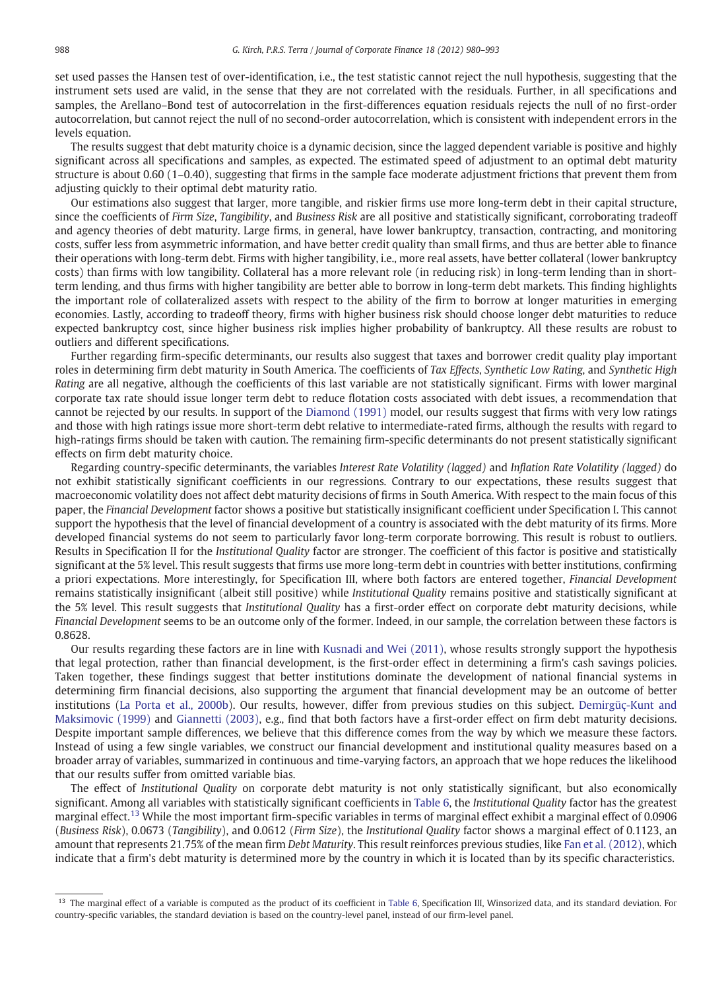set used passes the Hansen test of over-identification, i.e., the test statistic cannot reject the null hypothesis, suggesting that the instrument sets used are valid, in the sense that they are not correlated with the residuals. Further, in all specifications and samples, the Arellano–Bond test of autocorrelation in the first-differences equation residuals rejects the null of no first-order autocorrelation, but cannot reject the null of no second-order autocorrelation, which is consistent with independent errors in the levels equation.

The results suggest that debt maturity choice is a dynamic decision, since the lagged dependent variable is positive and highly significant across all specifications and samples, as expected. The estimated speed of adjustment to an optimal debt maturity structure is about 0.60 (1–0.40), suggesting that firms in the sample face moderate adjustment frictions that prevent them from adjusting quickly to their optimal debt maturity ratio.

Our estimations also suggest that larger, more tangible, and riskier firms use more long-term debt in their capital structure, since the coefficients of Firm Size, Tangibility, and Business Risk are all positive and statistically significant, corroborating tradeoff and agency theories of debt maturity. Large firms, in general, have lower bankruptcy, transaction, contracting, and monitoring costs, suffer less from asymmetric information, and have better credit quality than small firms, and thus are better able to finance their operations with long-term debt. Firms with higher tangibility, i.e., more real assets, have better collateral (lower bankruptcy costs) than firms with low tangibility. Collateral has a more relevant role (in reducing risk) in long-term lending than in shortterm lending, and thus firms with higher tangibility are better able to borrow in long-term debt markets. This finding highlights the important role of collateralized assets with respect to the ability of the firm to borrow at longer maturities in emerging economies. Lastly, according to tradeoff theory, firms with higher business risk should choose longer debt maturities to reduce expected bankruptcy cost, since higher business risk implies higher probability of bankruptcy. All these results are robust to outliers and different specifications.

Further regarding firm-specific determinants, our results also suggest that taxes and borrower credit quality play important roles in determining firm debt maturity in South America. The coefficients of Tax Effects, Synthetic Low Rating, and Synthetic High Rating are all negative, although the coefficients of this last variable are not statistically significant. Firms with lower marginal corporate tax rate should issue longer term debt to reduce flotation costs associated with debt issues, a recommendation that cannot be rejected by our results. In support of the [Diamond \(1991\)](#page-13-0) model, our results suggest that firms with very low ratings and those with high ratings issue more short‐term debt relative to intermediate-rated firms, although the results with regard to high-ratings firms should be taken with caution. The remaining firm-specific determinants do not present statistically significant effects on firm debt maturity choice.

Regarding country-specific determinants, the variables Interest Rate Volatility (lagged) and Inflation Rate Volatility (lagged) do not exhibit statistically significant coefficients in our regressions. Contrary to our expectations, these results suggest that macroeconomic volatility does not affect debt maturity decisions of firms in South America. With respect to the main focus of this paper, the Financial Development factor shows a positive but statistically insignificant coefficient under Specification I. This cannot support the hypothesis that the level of financial development of a country is associated with the debt maturity of its firms. More developed financial systems do not seem to particularly favor long-term corporate borrowing. This result is robust to outliers. Results in Specification II for the Institutional Quality factor are stronger. The coefficient of this factor is positive and statistically significant at the 5% level. This result suggests that firms use more long-term debt in countries with better institutions, confirming a priori expectations. More interestingly, for Specification III, where both factors are entered together, Financial Development remains statistically insignificant (albeit still positive) while Institutional Quality remains positive and statistically significant at the 5% level. This result suggests that Institutional Quality has a first-order effect on corporate debt maturity decisions, while Financial Development seems to be an outcome only of the former. Indeed, in our sample, the correlation between these factors is 0.8628.

Our results regarding these factors are in line with [Kusnadi and Wei \(2011\),](#page-13-0) whose results strongly support the hypothesis that legal protection, rather than financial development, is the first‐order effect in determining a firm's cash savings policies. Taken together, these findings suggest that better institutions dominate the development of national financial systems in determining firm financial decisions, also supporting the argument that financial development may be an outcome of better institutions ([La Porta et al., 2000b](#page-13-0)). Our results, however, differ from previous studies on this subject. [Demirgüç-Kunt and](#page-13-0) [Maksimovic \(1999\)](#page-13-0) and [Giannetti \(2003\)](#page-13-0), e.g., find that both factors have a first-order effect on firm debt maturity decisions. Despite important sample differences, we believe that this difference comes from the way by which we measure these factors. Instead of using a few single variables, we construct our financial development and institutional quality measures based on a broader array of variables, summarized in continuous and time-varying factors, an approach that we hope reduces the likelihood that our results suffer from omitted variable bias.

The effect of Institutional Quality on corporate debt maturity is not only statistically significant, but also economically significant. Among all variables with statistically significant coefficients in [Table 6,](#page-7-0) the Institutional Quality factor has the greatest marginal effect.<sup>13</sup> While the most important firm-specific variables in terms of marginal effect exhibit a marginal effect of 0.0906 (Business Risk), 0.0673 (Tangibility), and 0.0612 (Firm Size), the Institutional Quality factor shows a marginal effect of 0.1123, an amount that represents 21.75% of the mean firm Debt Maturity. This result reinforces previous studies, like [Fan et al. \(2012\)](#page-13-0), which indicate that a firm's debt maturity is determined more by the country in which it is located than by its specific characteristics.

<sup>&</sup>lt;sup>13</sup> The marginal effect of a variable is computed as the product of its coefficient in [Table 6,](#page-7-0) Specification III, Winsorized data, and its standard deviation. For country-specific variables, the standard deviation is based on the country-level panel, instead of our firm-level panel.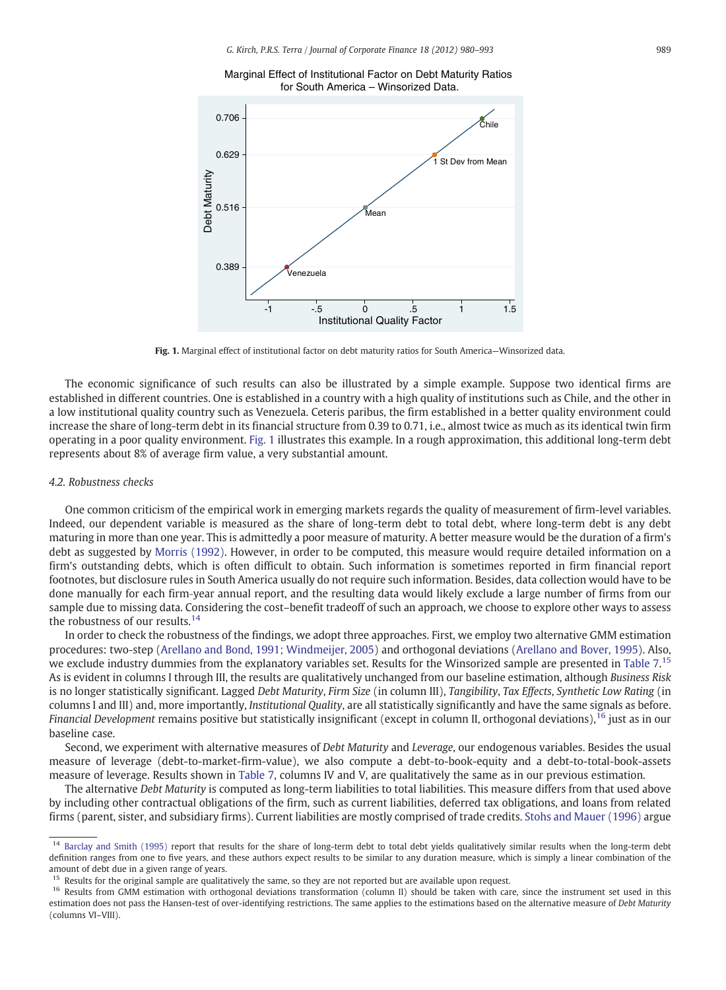



Fig. 1. Marginal effect of institutional factor on debt maturity ratios for South America–Winsorized data.

The economic significance of such results can also be illustrated by a simple example. Suppose two identical firms are established in different countries. One is established in a country with a high quality of institutions such as Chile, and the other in a low institutional quality country such as Venezuela. Ceteris paribus, the firm established in a better quality environment could increase the share of long-term debt in its financial structure from 0.39 to 0.71, i.e., almost twice as much as its identical twin firm operating in a poor quality environment. Fig. 1 illustrates this example. In a rough approximation, this additional long-term debt represents about 8% of average firm value, a very substantial amount.

### 4.2. Robustness checks

One common criticism of the empirical work in emerging markets regards the quality of measurement of firm-level variables. Indeed, our dependent variable is measured as the share of long-term debt to total debt, where long-term debt is any debt maturing in more than one year. This is admittedly a poor measure of maturity. A better measure would be the duration of a firm's debt as suggested by [Morris \(1992\)](#page-13-0). However, in order to be computed, this measure would require detailed information on a firm's outstanding debts, which is often difficult to obtain. Such information is sometimes reported in firm financial report footnotes, but disclosure rules in South America usually do not require such information. Besides, data collection would have to be done manually for each firm‐year annual report, and the resulting data would likely exclude a large number of firms from our sample due to missing data. Considering the cost–benefit tradeoff of such an approach, we choose to explore other ways to assess the robustness of our results.<sup>14</sup>

In order to check the robustness of the findings, we adopt three approaches. First, we employ two alternative GMM estimation procedures: two-step ([Arellano and Bond, 1991; Windmeijer, 2005\)](#page-12-0) and orthogonal deviations ([Arellano and Bover, 1995](#page-12-0)). Also, we exclude industry dummies from the explanatory variables set. Results for the Winsorized sample are presented in [Table 7](#page-10-0).<sup>15</sup> As is evident in columns I through III, the results are qualitatively unchanged from our baseline estimation, although Business Risk is no longer statistically significant. Lagged Debt Maturity, Firm Size (in column III), Tangibility, Tax Effects, Synthetic Low Rating (in columns I and III) and, more importantly, Institutional Quality, are all statistically significantly and have the same signals as before. Financial Development remains positive but statistically insignificant (except in column II, orthogonal deviations),  $^{16}$  just as in our baseline case.

Second, we experiment with alternative measures of Debt Maturity and Leverage, our endogenous variables. Besides the usual measure of leverage (debt-to-market-firm-value), we also compute a debt-to-book-equity and a debt-to-total-book-assets measure of leverage. Results shown in [Table 7,](#page-10-0) columns IV and V, are qualitatively the same as in our previous estimation.

The alternative Debt Maturity is computed as long-term liabilities to total liabilities. This measure differs from that used above by including other contractual obligations of the firm, such as current liabilities, deferred tax obligations, and loans from related firms (parent, sister, and subsidiary firms). Current liabilities are mostly comprised of trade credits. [Stohs and Mauer \(1996\)](#page-13-0) argue

<sup>&</sup>lt;sup>14</sup> [Barclay and Smith \(1995\)](#page-12-0) report that results for the share of long-term debt to total debt yields qualitatively similar results when the long-term debt definition ranges from one to five years, and these authors expect results to be similar to any duration measure, which is simply a linear combination of the amount of debt due in a given range of years.

<sup>&</sup>lt;sup>15</sup> Results for the original sample are qualitatively the same, so they are not reported but are available upon request.

<sup>&</sup>lt;sup>16</sup> Results from GMM estimation with orthogonal deviations transformation (column II) should be taken with care, since the instrument set used in this estimation does not pass the Hansen-test of over-identifying restrictions. The same applies to the estimations based on the alternative measure of Debt Maturity (columns VI–VIII).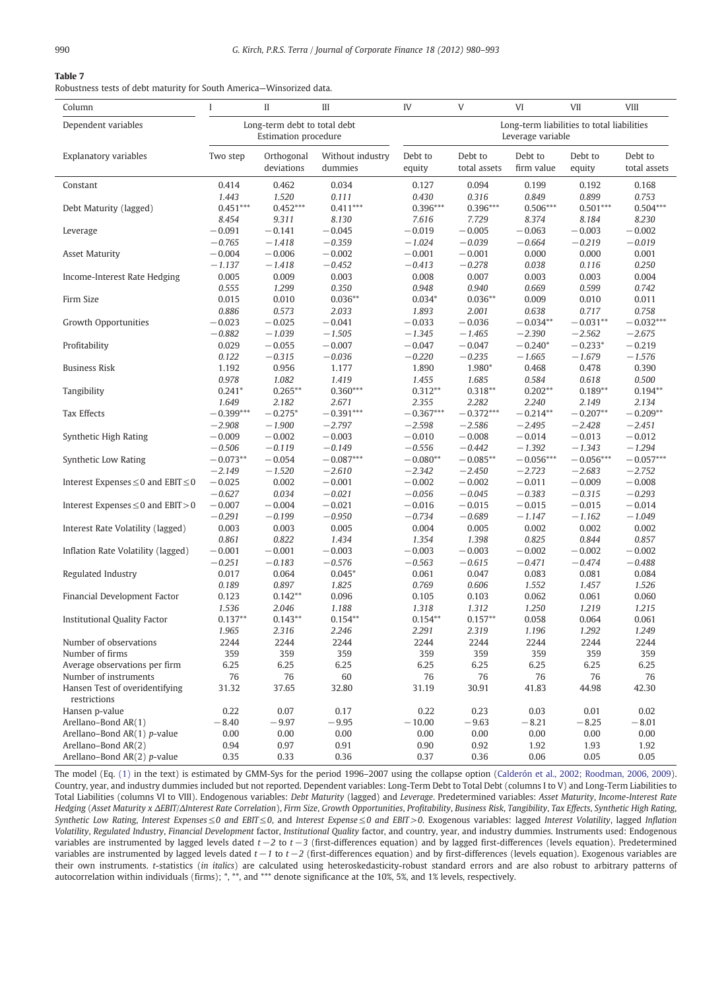#### <span id="page-10-0"></span>Table 7

Robustness tests of debt maturity for South America—Winsorized data.

| Column                                         | I              | $\mathbf{I}$                                                | III                         | IV                 | V                       | VI                    | VII                                        | <b>VIII</b>             |
|------------------------------------------------|----------------|-------------------------------------------------------------|-----------------------------|--------------------|-------------------------|-----------------------|--------------------------------------------|-------------------------|
| Dependent variables                            |                | Long-term debt to total debt<br><b>Estimation procedure</b> |                             |                    |                         | Leverage variable     | Long-term liabilities to total liabilities |                         |
| <b>Explanatory variables</b>                   | Two step       | Orthogonal<br>deviations                                    | Without industry<br>dummies | Debt to<br>equity  | Debt to<br>total assets | Debt to<br>firm value | Debt to<br>equity                          | Debt to<br>total assets |
| Constant                                       | 0.414          | 0.462                                                       | 0.034                       | 0.127              | 0.094                   | 0.199                 | 0.192                                      | 0.168                   |
|                                                | 1.443          | 1.520                                                       | 0.111                       | 0.430              | 0.316                   | 0.849                 | 0.899                                      | 0.753                   |
| Debt Maturity (lagged)                         | $0.451***$     | $0.452***$                                                  | $0.411***$                  | $0.396***$         | $0.396***$              | $0.506***$            | $0.501***$                                 | $0.504***$              |
|                                                | 8.454          | 9.311                                                       | 8.130                       | 7.616              | 7.729                   | 8.374                 | 8.184                                      | 8.230                   |
| Leverage                                       | $-0.091$       | $-0.141$                                                    | $-0.045$                    | $-0.019$           | $-0.005$                | $-0.063$              | $-0.003$                                   | $-0.002$                |
|                                                | $-0.765$       | $-1.418$                                                    | $-0.359$                    | $-1.024$           | $-0.039$                | $-0.664$              | $-0.219$                                   | $-0.019$                |
| <b>Asset Maturity</b>                          | $-0.004$       | $-0.006$                                                    | $-0.002$                    | $-0.001$           | $-0.001$                | 0.000                 | 0.000                                      | 0.001                   |
|                                                | $-1.137$       | $-1.418$                                                    | $-0.452$                    | $-0.413$           | $-0.278$                | 0.038                 | 0.116                                      | 0.250                   |
| Income-Interest Rate Hedging                   | 0.005          | 0.009                                                       | 0.003                       | 0.008              | 0.007                   | 0.003                 | 0.003                                      | 0.004                   |
|                                                | 0.555          | 1.299                                                       | 0.350                       | 0.948              | 0.940                   | 0.669                 | 0.599                                      | 0.742                   |
| Firm Size                                      | 0.015          | 0.010                                                       | $0.036**$                   | $0.034*$           | $0.036**$               | 0.009                 | 0.010                                      | 0.011                   |
|                                                | 0.886          | 0.573                                                       | 2.033                       | 1.893              | 2.001                   | 0.638                 | 0.717                                      | 0.758                   |
| <b>Growth Opportunities</b>                    | $-0.023$       | $-0.025$                                                    | $-0.041$                    | $-0.033$           | $-0.036$                | $-0.034**$            | $-0.031**$                                 | $-0.032***$             |
|                                                | $-0.882$       | $-1.039$                                                    | $-1.505$                    | $-1.345$           | $-1.465$                | $-2.390$              | $-2.562$                                   | $-2.675$                |
| Profitability                                  | 0.029          | $-0.055$                                                    | $-0.007$                    | $-0.047$           | $-0.047$                | $-0.240*$             | $-0.233*$                                  | $-0.219$                |
|                                                | 0.122          | $-0.315$                                                    | $-0.036$                    | $-0.220$           | $-0.235$                | $-1.665$              | $-1.679$                                   | $-1.576$                |
| <b>Business Risk</b>                           | 1.192<br>0.978 | 0.956<br>1.082                                              | 1.177                       | 1.890              | 1.980*<br>1.685         | 0.468<br>0.584        | 0.478                                      | 0.390<br>0.500          |
| Tangibility                                    | $0.241*$       | $0.265***$                                                  | 1.419<br>$0.360***$         | 1.455<br>$0.312**$ | $0.318**$               | $0.202**$             | 0.618<br>$0.189**$                         | $0.194**$               |
|                                                | 1.649          | 2.182                                                       | 2.671                       | 2.355              | 2.282                   | 2.240                 | 2.149                                      | 2.134                   |
| <b>Tax Effects</b>                             | $-0.399***$    | $-0.275*$                                                   | $-0.391***$                 | $-0.367***$        | $-0.372***$             | $-0.214**$            | $-0.207**$                                 | $-0.209**$              |
|                                                | $-2.908$       | $-1.900$                                                    | $-2.797$                    | $-2.598$           | $-2.586$                | $-2.495$              | $-2.428$                                   | $-2.451$                |
| Synthetic High Rating                          | $-0.009$       | $-0.002$                                                    | $-0.003$                    | $-0.010$           | $-0.008$                | $-0.014$              | $-0.013$                                   | $-0.012$                |
|                                                | $-0.506$       | $-0.119$                                                    | $-0.149$                    | $-0.556$           | $-0.442$                | $-1.392$              | $-1.343$                                   | $-1.294$                |
| Synthetic Low Rating                           | $-0.073**$     | $-0.054$                                                    | $-0.087***$                 | $-0.080**$         | $-0.085**$              | $-0.056***$           | $-0.056***$                                | $-0.057***$             |
|                                                | $-2.149$       | $-1.520$                                                    | $-2.610$                    | $-2.342$           | $-2.450$                | $-2.723$              | $-2.683$                                   | $-2.752$                |
| Interest Expenses $\leq$ 0 and EBIT $\leq$ 0   | $-0.025$       | 0.002                                                       | $-0.001$                    | $-0.002$           | $-0.002$                | $-0.011$              | $-0.009$                                   | $-0.008$                |
|                                                | $-0.627$       | 0.034                                                       | $-0.021$                    | $-0.056$           | $-0.045$                | $-0.383$              | $-0.315$                                   | $-0.293$                |
| Interest Expenses $\leq$ 0 and EBIT $>$ 0      | $-0.007$       | $-0.004$                                                    | $-0.021$                    | $-0.016$           | $-0.015$                | $-0.015$              | $-0.015$                                   | $-0.014$                |
|                                                | $-0.291$       | $-0.199$                                                    | $-0.950$                    | $-0.734$           | $-0.689$                | $-1.147$              | $-1.162$                                   | $-1.049$                |
| Interest Rate Volatility (lagged)              | 0.003          | 0.003                                                       | 0.005                       | 0.004              | 0.005                   | 0.002                 | 0.002                                      | 0.002                   |
|                                                | 0.861          | 0.822                                                       | 1.434                       | 1.354              | 1.398                   | 0.825                 | 0.844                                      | 0.857                   |
| Inflation Rate Volatility (lagged)             | $-0.001$       | $-0.001$                                                    | $-0.003$                    | $-0.003$           | $-0.003$                | $-0.002$              | $-0.002$                                   | $-0.002$                |
|                                                | $-0.251$       | $-0.183$                                                    | $-0.576$                    | $-0.563$           | $-0.615$                | $-0.471$              | $-0.474$                                   | $-0.488$                |
| Regulated Industry                             | 0.017          | 0.064                                                       | $0.045*$                    | 0.061              | 0.047                   | 0.083                 | 0.081                                      | 0.084                   |
|                                                | 0.189          | 0.897                                                       | 1.825                       | 0.769              | 0.606                   | 1.552                 | 1.457                                      | 1.526                   |
| Financial Development Factor                   | 0.123          | $0.142**$                                                   | 0.096                       | 0.105              | 0.103                   | 0.062                 | 0.061                                      | 0.060                   |
|                                                | 1.536          | 2.046                                                       | 1.188                       | 1.318              | 1.312                   | 1.250                 | 1.219                                      | 1.215                   |
| Institutional Quality Factor                   | $0.137**$      | $0.143**$                                                   | $0.154**$                   | $0.154**$          | $0.157**$               | 0.058                 | 0.064                                      | 0.061                   |
|                                                | 1.965          | 2.316                                                       | 2.246                       | 2.291              | 2.319                   | 1.196                 | 1.292                                      | 1.249                   |
| Number of observations                         | 2244           | 2244                                                        | 2244                        | 2244               | 2244                    | 2244                  | 2244                                       | 2244                    |
| Number of firms                                | 359            | 359                                                         | 359                         | 359                | 359                     | 359                   | 359                                        | 359                     |
| Average observations per firm                  | 6.25           | 6.25                                                        | 6.25                        | 6.25               | 6.25                    | 6.25                  | 6.25                                       | 6.25                    |
| Number of instruments                          | 76             | 76                                                          | 60                          | 76                 | 76                      | 76                    | 76                                         | 76                      |
| Hansen Test of overidentifying<br>restrictions | 31.32          | 37.65                                                       | 32.80                       | 31.19              | 30.91                   | 41.83                 | 44.98                                      | 42.30                   |
| Hansen p-value                                 | 0.22           | 0.07                                                        | 0.17                        | 0.22               | 0.23                    | 0.03                  | 0.01                                       | 0.02                    |
| Arellano-Bond AR(1)                            | $-8.40$        | $-9.97$                                                     | $-9.95$                     | $-10.00$           | $-9.63$                 | $-8.21$               | $-8.25$                                    | $-8.01$                 |
| Arellano-Bond $AR(1)$ p-value                  | 0.00           | 0.00                                                        | 0.00                        | 0.00               | 0.00                    | 0.00                  | 0.00                                       | 0.00                    |
| Arellano-Bond AR(2)                            | 0.94           | 0.97                                                        | 0.91                        | 0.90               | 0.92                    | 1.92                  | 1.93                                       | 1.92                    |
| Arellano-Bond AR(2) p-value                    | 0.35           | 0.33                                                        | 0.36                        | 0.37               | 0.36                    | 0.06                  | 0.05                                       | 0.05                    |

The model (Eq. [\(1\)](#page-5-0) in the text) is estimated by GMM-Sys for the period 1996–2007 using the collapse option [\(Calderón et al., 2002; Roodman, 2006, 2009](#page-12-0)). Country, year, and industry dummies included but not reported. Dependent variables: Long-Term Debt to Total Debt (columns I to V) and Long-Term Liabilities to Total Liabilities (columns VI to VIII). Endogenous variables: Debt Maturity (lagged) and Leverage. Predetermined variables: Asset Maturity, Income-Interest Rate Hedging (Asset Maturity x ΔEBIT/ΔInterest Rate Correlation), Firm Size, Growth Opportunities, Profitability, Business Risk, Tangibility, Tax Effects, Synthetic High Rating, Synthetic Low Rating, Interest Expenses ≤0 and EBIT≤0, and Interest Expense ≤0 and EBIT>0. Exogenous variables: lagged Interest Volatility, lagged Inflation Volatility, Regulated Industry, Financial Development factor, Institutional Quality factor, and country, year, and industry dummies. Instruments used: Endogenous variables are instrumented by lagged levels dated t−2 to t−3 (first-differences equation) and by lagged first-differences (levels equation). Predetermined variables are instrumented by lagged levels dated  $t-1$  to  $t-2$  (first-differences equation) and by first-differences (levels equation). Exogenous variables are their own instruments. t-statistics (in italics) are calculated using heteroskedasticity-robust standard errors and are also robust to arbitrary patterns of autocorrelation within individuals (firms); \*, \*\*, and \*\*\* denote significance at the 10%, 5%, and 1% levels, respectively.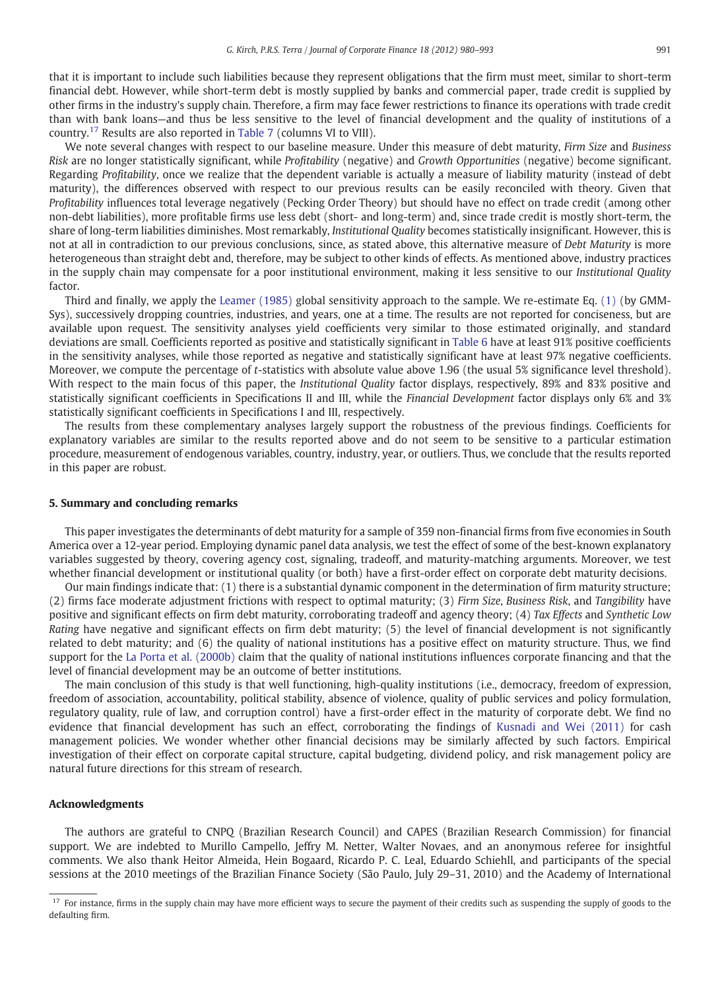<span id="page-11-0"></span>that it is important to include such liabilities because they represent obligations that the firm must meet, similar to short-term financial debt. However, while short-term debt is mostly supplied by banks and commercial paper, trade credit is supplied by other firms in the industry's supply chain. Therefore, a firm may face fewer restrictions to finance its operations with trade credit than with bank loans—and thus be less sensitive to the level of financial development and the quality of institutions of a country.<sup>17</sup> Results are also reported in [Table 7](#page-10-0) (columns VI to VIII).

We note several changes with respect to our baseline measure. Under this measure of debt maturity, Firm Size and Business Risk are no longer statistically significant, while Profitability (negative) and Growth Opportunities (negative) become significant. Regarding Profitability, once we realize that the dependent variable is actually a measure of liability maturity (instead of debt maturity), the differences observed with respect to our previous results can be easily reconciled with theory. Given that Profitability influences total leverage negatively (Pecking Order Theory) but should have no effect on trade credit (among other non-debt liabilities), more profitable firms use less debt (short- and long-term) and, since trade credit is mostly short-term, the share of long-term liabilities diminishes. Most remarkably, Institutional Quality becomes statistically insignificant. However, this is not at all in contradiction to our previous conclusions, since, as stated above, this alternative measure of Debt Maturity is more heterogeneous than straight debt and, therefore, may be subject to other kinds of effects. As mentioned above, industry practices in the supply chain may compensate for a poor institutional environment, making it less sensitive to our Institutional Quality factor.

Third and finally, we apply the [Leamer \(1985\)](#page-13-0) global sensitivity approach to the sample. We re-estimate Eq. [\(1\)](#page-5-0) (by GMM-Sys), successively dropping countries, industries, and years, one at a time. The results are not reported for conciseness, but are available upon request. The sensitivity analyses yield coefficients very similar to those estimated originally, and standard deviations are small. Coefficients reported as positive and statistically significant in [Table 6](#page-7-0) have at least 91% positive coefficients in the sensitivity analyses, while those reported as negative and statistically significant have at least 97% negative coefficients. Moreover, we compute the percentage of t-statistics with absolute value above 1.96 (the usual 5% significance level threshold). With respect to the main focus of this paper, the Institutional Quality factor displays, respectively, 89% and 83% positive and statistically significant coefficients in Specifications II and III, while the Financial Development factor displays only 6% and 3% statistically significant coefficients in Specifications I and III, respectively.

The results from these complementary analyses largely support the robustness of the previous findings. Coefficients for explanatory variables are similar to the results reported above and do not seem to be sensitive to a particular estimation procedure, measurement of endogenous variables, country, industry, year, or outliers. Thus, we conclude that the results reported in this paper are robust.

#### 5. Summary and concluding remarks

This paper investigates the determinants of debt maturity for a sample of 359 non-financial firms from five economies in South America over a 12-year period. Employing dynamic panel data analysis, we test the effect of some of the best-known explanatory variables suggested by theory, covering agency cost, signaling, tradeoff, and maturity-matching arguments. Moreover, we test whether financial development or institutional quality (or both) have a first-order effect on corporate debt maturity decisions.

Our main findings indicate that: (1) there is a substantial dynamic component in the determination of firm maturity structure; (2) firms face moderate adjustment frictions with respect to optimal maturity; (3) Firm Size, Business Risk, and Tangibility have positive and significant effects on firm debt maturity, corroborating tradeoff and agency theory; (4) Tax Effects and Synthetic Low Rating have negative and significant effects on firm debt maturity; (5) the level of financial development is not significantly related to debt maturity; and (6) the quality of national institutions has a positive effect on maturity structure. Thus, we find support for the [La Porta et al. \(2000b\)](#page-13-0) claim that the quality of national institutions influences corporate financing and that the level of financial development may be an outcome of better institutions.

The main conclusion of this study is that well functioning, high-quality institutions (i.e., democracy, freedom of expression, freedom of association, accountability, political stability, absence of violence, quality of public services and policy formulation, regulatory quality, rule of law, and corruption control) have a first-order effect in the maturity of corporate debt. We find no evidence that financial development has such an effect, corroborating the findings of [Kusnadi and Wei \(2011\)](#page-13-0) for cash management policies. We wonder whether other financial decisions may be similarly affected by such factors. Empirical investigation of their effect on corporate capital structure, capital budgeting, dividend policy, and risk management policy are natural future directions for this stream of research.

#### Acknowledgments

The authors are grateful to CNPQ (Brazilian Research Council) and CAPES (Brazilian Research Commission) for financial support. We are indebted to Murillo Campello, Jeffry M. Netter, Walter Novaes, and an anonymous referee for insightful comments. We also thank Heitor Almeida, Hein Bogaard, Ricardo P. C. Leal, Eduardo Schiehll, and participants of the special sessions at the 2010 meetings of the Brazilian Finance Society (São Paulo, July 29–31, 2010) and the Academy of International

<sup>&</sup>lt;sup>17</sup> For instance, firms in the supply chain may have more efficient ways to secure the payment of their credits such as suspending the supply of goods to the defaulting firm.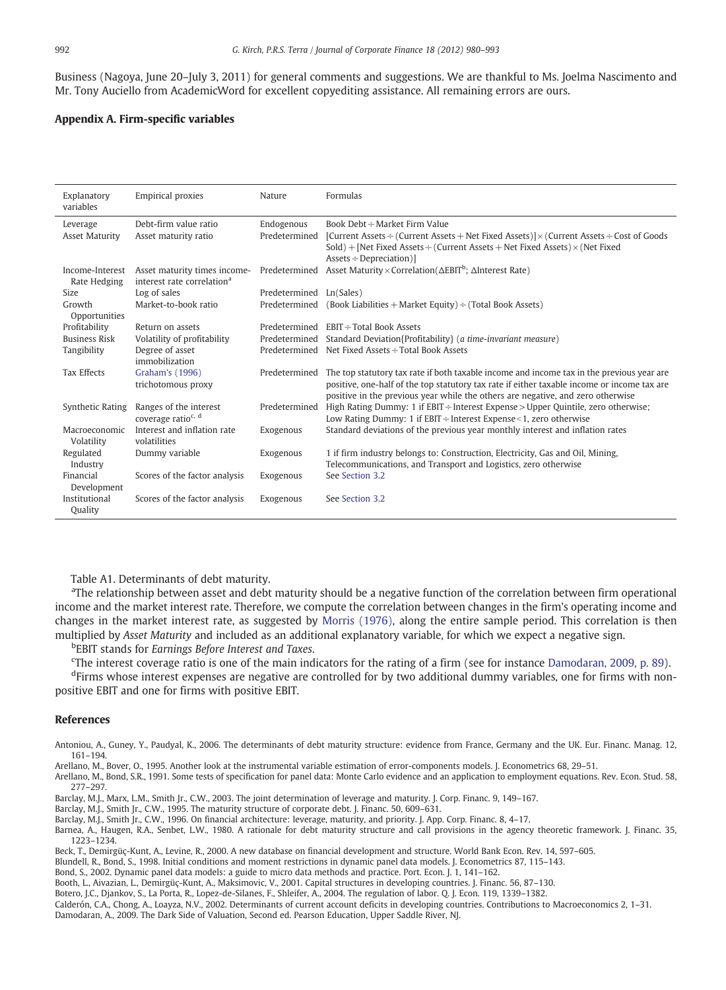<span id="page-12-0"></span>Business (Nagoya, June 20–July 3, 2011) for general comments and suggestions. We are thankful to Ms. Joelma Nascimento and Mr. Tony Auciello from AcademicWord for excellent copyediting assistance. All remaining errors are ours.

# Appendix A. Firm-specific variables

| Explanatory<br>variables          | <b>Empirical proxies</b>                                               | Nature                      | Formulas                                                                                                                                                                                                                                                                    |
|-----------------------------------|------------------------------------------------------------------------|-----------------------------|-----------------------------------------------------------------------------------------------------------------------------------------------------------------------------------------------------------------------------------------------------------------------------|
| Leverage<br><b>Asset Maturity</b> | Debt-firm value ratio<br>Asset maturity ratio                          | Endogenous<br>Predetermined | Book Debt $\div$ Market Firm Value<br>[Current Assets $\div$ (Current Assets + Net Fixed Assets)] $\times$ (Current Assets $\div$ Cost of Goods                                                                                                                             |
|                                   |                                                                        |                             | $Sold$ ) + [Net Fixed Assets $\div$ (Current Assets + Net Fixed Assets) $\times$ (Net Fixed<br>$Assets \div Depreciation)$                                                                                                                                                  |
| Income-Interest<br>Rate Hedging   | Asset maturity times income-<br>interest rate correlation <sup>a</sup> | Predetermined               | Asset Maturity $\times$ Correlation ( $\Delta$ EBIT <sup>b</sup> ; $\Delta$ Interest Rate)                                                                                                                                                                                  |
| <b>Size</b>                       | Log of sales                                                           | Predetermined               | Ln(Sales)                                                                                                                                                                                                                                                                   |
| Growth<br>Opportunities           | Market-to-book ratio                                                   | Predetermined               | $(Book$ Liabilities + Market Equity) $\div$ (Total Book Assets)                                                                                                                                                                                                             |
| Profitability                     | Return on assets                                                       | Predetermined               | $EBIT \div Total Book Assets$                                                                                                                                                                                                                                               |
| <b>Business Risk</b>              | Volatility of profitability                                            | Predetermined               | Standard Deviation{Profitability} (a time-invariant measure)                                                                                                                                                                                                                |
| Tangibility                       | Degree of asset<br>immobilization                                      |                             | Predetermined Net Fixed Assets ÷ Total Book Assets                                                                                                                                                                                                                          |
| Tax Effects                       | Graham's (1996)<br>trichotomous proxy                                  | Predetermined               | The top statutory tax rate if both taxable income and income tax in the previous year are<br>positive, one-half of the top statutory tax rate if either taxable income or income tax are<br>positive in the previous year while the others are negative, and zero otherwise |
| Synthetic Rating                  | Ranges of the interest<br>coverage ratio <sup>c, d</sup>               | Predetermined               | High Rating Dummy: 1 if EBIT $\div$ Interest Expense $>$ Upper Quintile, zero otherwise;<br>Low Rating Dummy: 1 if $EBIT \div$ Interest Expense < 1, zero otherwise                                                                                                         |
| Macroeconomic<br>Volatility       | Interest and inflation rate<br>volatilities                            | Exogenous                   | Standard deviations of the previous year monthly interest and inflation rates                                                                                                                                                                                               |
| Regulated<br>Industry             | Dummy variable                                                         | Exogenous                   | 1 if firm industry belongs to: Construction, Electricity, Gas and Oil, Mining,<br>Telecommunications, and Transport and Logistics, zero otherwise                                                                                                                           |
| Financial<br>Development          | Scores of the factor analysis                                          | Exogenous                   | See Section 3.2                                                                                                                                                                                                                                                             |
| Institutional<br>Quality          | Scores of the factor analysis                                          | Exogenous                   | See Section 3.2                                                                                                                                                                                                                                                             |

Table A1. Determinants of debt maturity.

<sup>a</sup>The relationship between asset and debt maturity should be a negative function of the correlation between firm operational income and the market interest rate. Therefore, we compute the correlation between changes in the firm's operating income and changes in the market interest rate, as suggested by [Morris \(1976\)](#page-13-0), along the entire sample period. This correlation is then multiplied by Asset Maturity and included as an additional explanatory variable, for which we expect a negative sign.

**bEBIT stands for Earnings Before Interest and Taxes.** 

c The interest coverage ratio is one of the main indicators for the rating of a firm (see for instance Damodaran, 2009, p. 89).

<sup>d</sup>Firms whose interest expenses are negative are controlled for by two additional dummy variables, one for firms with nonpositive EBIT and one for firms with positive EBIT.

#### References

Antoniou, A., Guney, Y., Paudyal, K., 2006. The determinants of debt maturity structure: evidence from France, Germany and the UK. Eur. Financ. Manag. 12, 161–194.

Arellano, M., Bover, O., 1995. Another look at the instrumental variable estimation of error-components models. J. Econometrics 68, 29–51.

Arellano, M., Bond, S.R., 1991. Some tests of specification for panel data: Monte Carlo evidence and an application to employment equations. Rev. Econ. Stud. 58, 277–297.

Barclay, M.J., Marx, L.M., Smith Jr., C.W., 2003. The joint determination of leverage and maturity. J. Corp. Financ. 9, 149–167.

Barclay, M.J., Smith Jr., C.W., 1995. The maturity structure of corporate debt. J. Financ. 50, 609–631.

Barclay, M.J., Smith Jr., C.W., 1996. On financial architecture: leverage, maturity, and priority. J. App. Corp. Financ. 8, 4–17.

Barnea, A., Haugen, R.A., Senbet, L.W., 1980. A rationale for debt maturity structure and call provisions in the agency theoretic framework. J. Financ. 35, 1223–1234.

Beck, T., Demirgüç-Kunt, A., Levine, R., 2000. A new database on financial development and structure. World Bank Econ. Rev. 14, 597–605.

Blundell, R., Bond, S., 1998. Initial conditions and moment restrictions in dynamic panel data models. J. Econometrics 87, 115–143.

Bond, S., 2002. Dynamic panel data models: a guide to micro data methods and practice. Port. Econ. J. 1, 141–162.

Booth, L., Aivazian, L., Demirgüç-Kunt, A., Maksimovic, V., 2001. Capital structures in developing countries. J. Financ. 56, 87–130.

Botero, J.C., Djankov, S., La Porta, R., Lopez-de-Silanes, F., Shleifer, A., 2004. The regulation of labor. Q. J. Econ. 119, 1339–1382.

Calderón, C.A., Chong, A., Loayza, N.V., 2002. Determinants of current account deficits in developing countries. Contributions to Macroeconomics 2, 1–31. Damodaran, A., 2009. The Dark Side of Valuation, Second ed. Pearson Education, Upper Saddle River, NJ.